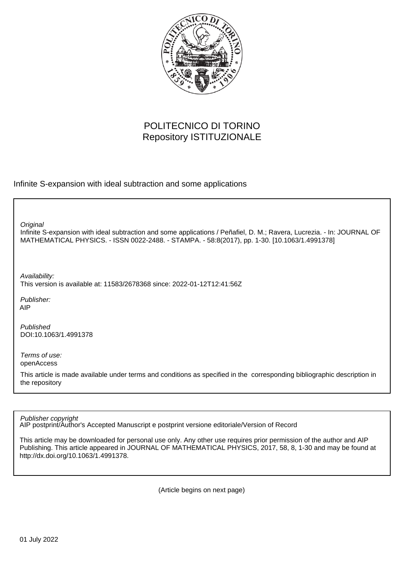

# POLITECNICO DI TORINO Repository ISTITUZIONALE

Infinite S-expansion with ideal subtraction and some applications

**Original** 

Infinite S-expansion with ideal subtraction and some applications / Peñafiel, D. M.; Ravera, Lucrezia. - In: JOURNAL OF MATHEMATICAL PHYSICS. - ISSN 0022-2488. - STAMPA. - 58:8(2017), pp. 1-30. [10.1063/1.4991378]

Availability: This version is available at: 11583/2678368 since: 2022-01-12T12:41:56Z

Publisher: AIP

Published DOI:10.1063/1.4991378

Terms of use: openAccess

This article is made available under terms and conditions as specified in the corresponding bibliographic description in the repository

Publisher copyright

AIP postprint/Author's Accepted Manuscript e postprint versione editoriale/Version of Record

This article may be downloaded for personal use only. Any other use requires prior permission of the author and AIP Publishing. This article appeared in JOURNAL OF MATHEMATICAL PHYSICS, 2017, 58, 8, 1-30 and may be found at http://dx.doi.org/10.1063/1.4991378.

(Article begins on next page)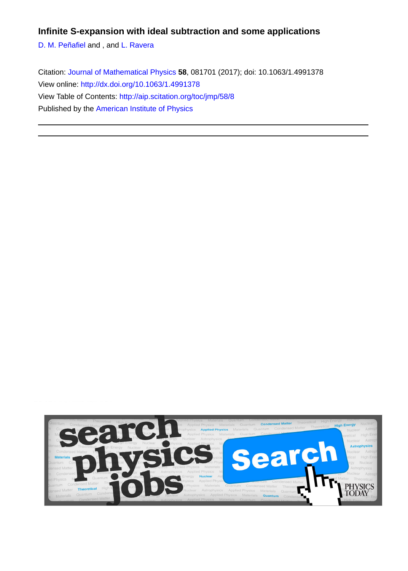# **Infinite S-expansion with ideal subtraction and some applications**

[D. M. Peñafiel](http://aip.scitation.org/author/Pe%C3%B1afiel%2C+D+M) and , and [L. Ravera](http://aip.scitation.org/author/Ravera%2C+L)

Citation: [Journal of Mathematical Physics](/loi/jmp) **58**, 081701 (2017); doi: 10.1063/1.4991378 View online:<http://dx.doi.org/10.1063/1.4991378> View Table of Contents:<http://aip.scitation.org/toc/jmp/58/8> Published by the [American Institute of Physics](http://aip.scitation.org/publisher/)

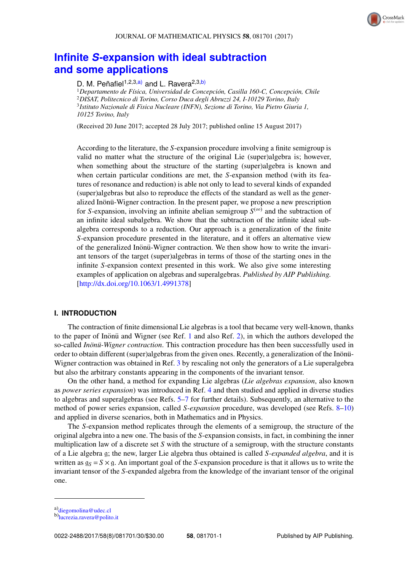# **Infinite** *S***[-expansion with ideal subtraction](http://dx.doi.org/10.1063/1.4991378) [and some applications](http://dx.doi.org/10.1063/1.4991378)**

## D. M. Peñafiel<sup>1,2,3,a)</sup> and L. Ravera<sup>2,3,b)</sup>

<sup>1</sup>Departamento de Física, Universidad de Concepción, Casilla 160-C, Concepción, Chile <sup>2</sup>*DISAT, Politecnico di Torino, Corso Duca degli Abruzzi 24, I-10129 Torino, Italy* 3 *Istituto Nazionale di Fisica Nucleare (INFN), Sezione di Torino, Via Pietro Giuria 1, 10125 Torino, Italy*

(Received 20 June 2017; accepted 28 July 2017; published online 15 August 2017)

According to the literature, the *S*-expansion procedure involving a finite semigroup is valid no matter what the structure of the original Lie (super)algebra is; however, when something about the structure of the starting (super)algebra is known and when certain particular conditions are met, the *S*-expansion method (with its features of resonance and reduction) is able not only to lead to several kinds of expanded (super)algebras but also to reproduce the effects of the standard as well as the generalized Inönü-Wigner contraction. In the present paper, we propose a new prescription for *S*-expansion, involving an infinite abelian semigroup  $S^{(\infty)}$  and the subtraction of an infinite ideal subalgebra. We show that the subtraction of the infinite ideal subalgebra corresponds to a reduction. Our approach is a generalization of the finite *S*-expansion procedure presented in the literature, and it offers an alternative view of the generalized Inönü-Wigner contraction. We then show how to write the invariant tensors of the target (super)algebras in terms of those of the starting ones in the infinite *S*-expansion context presented in this work. We also give some interesting examples of application on algebras and superalgebras. *Published by AIP Publishing.* [\[http://dx.doi.org/10.1063/1.4991378\]](http://dx.doi.org/10.1063/1.4991378)

## **I. INTRODUCTION**

The contraction of finite dimensional Lie algebras is a tool that became very well-known, thanks to the paper of Inonü and Wigner (see Ref.  $1$  and also Ref.  $2$ ), in which the authors developed the so-called *Inonü -Wigner contraction*. This contraction procedure has then been successfully used in order to obtain different (super)algebras from the given ones. Recently, a generalization of the Inönü-Wigner contraction was obtained in Ref. [3](#page-29-2) by rescaling not only the generators of a Lie superalgebra but also the arbitrary constants appearing in the components of the invariant tensor.

On the other hand, a method for expanding Lie algebras (*Lie algebras expansion*, also known as *power series expansion*) was introduced in Ref. [4](#page-29-3) and then studied and applied in diverse studies to algebras and superalgebras (see Refs. [5–](#page-29-4)[7](#page-29-5) for further details). Subsequently, an alternative to the method of power series expansion, called *S-expansion* procedure, was developed (see Refs. [8](#page-29-6)[–10\)](#page-30-0) and applied in diverse scenarios, both in Mathematics and in Physics.

The *S*-expansion method replicates through the elements of a semigroup, the structure of the original algebra into a new one. The basis of the *S*-expansion consists, in fact, in combining the inner multiplication law of a discrete set *S* with the structure of a semigroup, with the structure constants of a Lie algebra g; the new, larger Lie algebra thus obtained is called *S-expanded algebra*, and it is written as  $g_S = S \times g$ . An important goal of the *S*-expansion procedure is that it allows us to write the invariant tensor of the *S*-expanded algebra from the knowledge of the invariant tensor of the original one.

a)[diegomolina@udec.cl](mailto:diegomolina@udec.cl)

b)[lucrezia.ravera@polito.it](mailto:lucrezia.ravera@polito.it)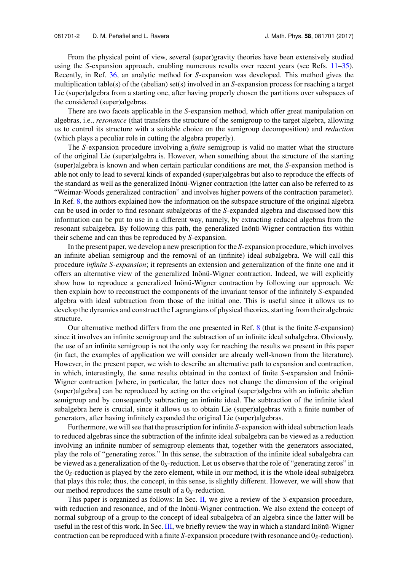From the physical point of view, several (super)gravity theories have been extensively studied using the *S*-expansion approach, enabling numerous results over recent years (see Refs. [11–](#page-30-1)[35\)](#page-30-2). Recently, in Ref. [36,](#page-30-3) an analytic method for *S*-expansion was developed. This method gives the multiplication table(s) of the (abelian) set(s) involved in an *S*-expansion process for reaching a target Lie (super)algebra from a starting one, after having properly chosen the partitions over subspaces of the considered (super)algebras.

There are two facets applicable in the *S*-expansion method, which offer great manipulation on algebras, i.e., *resonance* (that transfers the structure of the semigroup to the target algebra, allowing us to control its structure with a suitable choice on the semigroup decomposition) and *reduction* (which plays a peculiar role in cutting the algebra properly).

The *S*-expansion procedure involving a *finite* semigroup is valid no matter what the structure of the original Lie (super)algebra is. However, when something about the structure of the starting (super)algebra is known and when certain particular conditions are met, the *S*-expansion method is able not only to lead to several kinds of expanded (super)algebras but also to reproduce the effects of the standard as well as the generalized Inönü-Wigner contraction (the latter can also be referred to as "Weimar-Woods generalized contraction" and involves higher powers of the contraction parameter). In Ref. [8,](#page-29-6) the authors explained how the information on the subspace structure of the original algebra can be used in order to find resonant subalgebras of the *S*-expanded algebra and discussed how this information can be put to use in a different way, namely, by extracting reduced algebras from the resonant subalgebra. By following this path, the generalized Inönü-Wigner contraction fits within their scheme and can thus be reproduced by *S*-expansion.

In the present paper, we develop a new prescription for the *S*-expansion procedure, which involves an infinite abelian semigroup and the removal of an (infinite) ideal subalgebra. We will call this procedure *infinite S-expansion*; it represents an extension and generalization of the finite one and it offers an alternative view of the generalized Inönü-Wigner contraction. Indeed, we will explicitly show how to reproduce a generalized Inönü-Wigner contraction by following our approach. We then explain how to reconstruct the components of the invariant tensor of the infinitely *S*-expanded algebra with ideal subtraction from those of the initial one. This is useful since it allows us to develop the dynamics and construct the Lagrangians of physical theories, starting from their algebraic structure.

Our alternative method differs from the one presented in Ref. [8](#page-29-6) (that is the finite *S*-expansion) since it involves an infinite semigroup and the subtraction of an infinite ideal subalgebra. Obviously, the use of an infinite semigroup is not the only way for reaching the results we present in this paper (in fact, the examples of application we will consider are already well-known from the literature). However, in the present paper, we wish to describe an alternative path to expansion and contraction, in which, interestingly, the same results obtained in the context of finite *S*-expansion and Inönü-Wigner contraction [where, in particular, the latter does not change the dimension of the original (super)algebra] can be reproduced by acting on the original (super)algebra with an infinite abelian semigroup and by consequently subtracting an infinite ideal. The subtraction of the infinite ideal subalgebra here is crucial, since it allows us to obtain Lie (super)algebras with a finite number of generators, after having infinitely expanded the original Lie (super)algebras.

Furthermore, we will see that the prescription for infinite *S*-expansion with ideal subtraction leads to reduced algebras since the subtraction of the infinite ideal subalgebra can be viewed as a reduction involving an infinite number of semigroup elements that, together with the generators associated, play the role of "generating zeros." In this sense, the subtraction of the infinite ideal subalgebra can be viewed as a generalization of the 0*S*-reduction. Let us observe that the role of "generating zeros" in the 0*S*-reduction is played by the zero element, while in our method, it is the whole ideal subalgebra that plays this role; thus, the concept, in this sense, is slightly different. However, we will show that our method reproduces the same result of a 0*S*-reduction.

This paper is organized as follows: In Sec. [II,](#page-4-0) we give a review of the *S*-expansion procedure, with reduction and resonance, and of the Inönü-Wigner contraction. We also extend the concept of normal subgroup of a group to the concept of ideal subalgebra of an algebra since the latter will be useful in the rest of this work. In Sec. [III,](#page-9-0) we briefly review the way in which a standard Inonü-Wigner contraction can be reproduced with a finite *S*-expansion procedure (with resonance and 0*S*-reduction).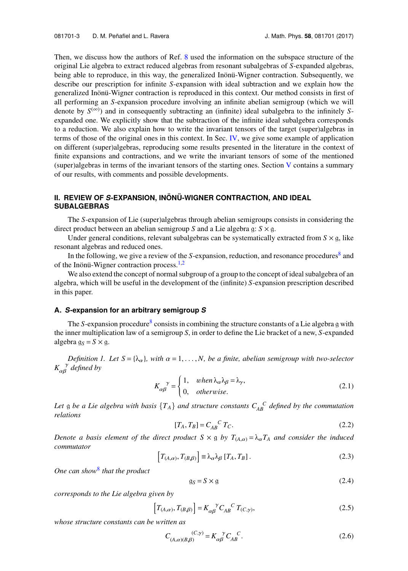Then, we discuss how the authors of Ref. [8](#page-29-6) used the information on the subspace structure of the original Lie algebra to extract reduced algebras from resonant subalgebras of *S*-expanded algebras, being able to reproduce, in this way, the generalized Inönü-Wigner contraction. Subsequently, we describe our prescription for infinite *S*-expansion with ideal subtraction and we explain how the generalized Inönü-Wigner contraction is reproduced in this context. Our method consists in first of all performing an *S*-expansion procedure involving an infinite abelian semigroup (which we will denote by  $S^{(\infty)}$ ) and in consequently subtracting an (infinite) ideal subalgebra to the infinitely Sexpanded one. We explicitly show that the subtraction of the infinite ideal subalgebra corresponds to a reduction. We also explain how to write the invariant tensors of the target (super)algebras in terms of those of the original ones in this context. In Sec. [IV,](#page-18-0) we give some example of application on different (super)algebras, reproducing some results presented in the literature in the context of finite expansions and contractions, and we write the invariant tensors of some of the mentioned (super)algebras in terms of the invariant tensors of the starting ones. Section [V](#page-28-0) contains a summary of our results, with comments and possible developments.

## <span id="page-4-0"></span>**II. REVIEW OF** *S***-EXPANSION, INON¨ U-WIGNER CONTRACTION, AND IDEAL ¨ SUBALGEBRAS**

The *S*-expansion of Lie (super)algebras through abelian semigroups consists in considering the direct product between an abelian semigroup *S* and a Lie algebra g:  $S \times g$ .

Under general conditions, relevant subalgebras can be systematically extracted from  $S \times g$ , like resonant algebras and reduced ones.

In the following, we give a review of the *S*-expansion, reduction, and resonance procedures<sup>[8](#page-29-6)</sup> and of the Inönü-Wigner contraction process.<sup>[1](#page-29-0)[,2](#page-29-1)</sup>

We also extend the concept of normal subgroup of a group to the concept of ideal subalgebra of an algebra, which will be useful in the development of the (infinite) *S*-expansion prescription described in this paper.

#### **A.** *S***-expansion for an arbitrary semigroup** *S*

The *S*-expansion procedure<sup>[8](#page-29-6)</sup> consists in combining the structure constants of a Lie algebra g with the inner multiplication law of a semigroup *S*, in order to define the Lie bracket of a new, *S*-expanded algebra  $q_S = S \times q$ .

*Definition 1. Let*  $S = \{\lambda_{\alpha}\}\$ , with  $\alpha = 1, \ldots, N$ , be a finite, abelian semigroup with two-selector *K* γ αβ *defined by*

$$
K_{\alpha\beta}^{\quad \gamma} = \begin{cases} 1, & when \lambda_{\alpha}\lambda_{\beta} = \lambda_{\gamma}, \\ 0, & otherwise. \end{cases}
$$
 (2.1)

Let g be a Lie algebra with basis  $\{T_A\}$  and structure constants  $C_{AB}^C$  defined by the commutation *relations*

$$
[T_A, T_B] = C_{AB}^{C} T_C. \tag{2.2}
$$

*Denote a basis element of the direct product*  $S \times g$  *by*  $T_{(A,\alpha)} = \lambda_{\alpha} T_A$  *and consider the induced commutator* f g

<span id="page-4-1"></span>
$$
\left[T_{(A,\alpha)}, T_{(B,\beta)}\right] \equiv \lambda_{\alpha} \lambda_{\beta} \left[T_A, T_B\right].\tag{2.3}
$$

*One can show*[8](#page-29-6) *that the product*

<span id="page-4-2"></span>
$$
g_S = S \times g \tag{2.4}
$$

*corresponds to the Lie algebra given by* f

$$
\[T_{(A,\alpha)}, T_{(B,\beta)}\] = K_{\alpha\beta}^{\ \ \gamma} C_{AB}^{\ \ C} T_{(C,\gamma)},\tag{2.5}
$$

*whose structure constants can be written as*

$$
C_{(A,\alpha)(B,\beta)}^{(C,\gamma)} = K_{\alpha\beta}^{\ \ \gamma} C_{AB}^{\ \ C}.
$$
 (2.6)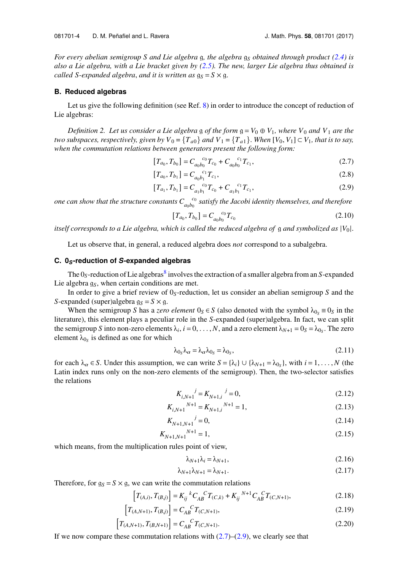*For every abelian semigroup S and Lie algebra* g, the algebra  $g<sub>S</sub>$  *obtained through product* [\(2.4\)](#page-4-1) *is also a Lie algebra, with a Lie bracket given by [\(2.5\)](#page-4-2). The new, larger Lie algebra thus obtained is called S-expanded algebra, and it is written as*  $g_S = S \times g$ .

## **B. Reduced algebras**

Let us give the following definition (see Ref. [8\)](#page-29-6) in order to introduce the concept of reduction of Lie algebras:

*Definition 2. Let us consider a Lie algebra g of the form*  $g = V_0 \oplus V_1$ , where  $V_0$  and  $V_1$  are the *two subspaces, respectively, given by*  $V_0 = \{T_{a0}\}$  *and*  $V_1 = \{T_{a1}\}$ . *When*  $[V_0, V_1] \subset V_1$ *, that is to say, when the commutation relations between generators present the following form:*

$$
[T_{a_0}, T_{b_0}] = C_{a_0 b_0}^{c_0} T_{c_0} + C_{a_0 b_0}^{c_1} T_{c_1},
$$
\n(2.7)

$$
[T_{a_0}, T_{b_1}] = C_{a_0 b_1}^{c_1} T_{c_1},
$$
\n(2.8)

$$
[T_{a_1}, T_{b_1}] = C_{a_1 b_1}^{c_0} T_{c_0} + C_{a_1 b_1}^{c_1} T_{c_1},
$$
\n(2.9)

*one can show that the structure constants*  $C_{a_0b_0}^{\quad c_0}$  *satisfy the Jacobi identity themselves, and therefore* 

<span id="page-5-1"></span><span id="page-5-0"></span>
$$
[T_{a_0}, T_{b_0}] = C_{a_0 b_0}^{c_0} T_{c_0}
$$
 (2.10)

*itself corresponds to a Lie algebra, which is called the reduced algebra of* g *and symbolized as* |*V*<sup>0</sup> |.

Let us observe that, in general, a reduced algebra does *not* correspond to a subalgebra.

#### **C. 0***S***-reduction of** *S***-expanded algebras**

The O<sub>S</sub>-reduction of Lie algebras<sup>[8](#page-29-6)</sup> involves the extraction of a smaller algebra from an *S*-expanded Lie algebra  $q<sub>S</sub>$ , when certain conditions are met.

In order to give a brief review of 0*S*-reduction, let us consider an abelian semigroup *S* and the *S*-expanded (super)algebra  $g_S = S \times g$ .

When the semigroup *S* has a *zero element*  $0_S \in S$  (also denoted with the symbol  $\lambda_{0_S} \equiv 0_S$  in the literature), this element plays a peculiar role in the *S*-expanded (super)algebra. In fact, we can split the semigroup *S* into non-zero elements  $\lambda_i$ ,  $i = 0, \ldots, N$ , and a zero element  $\lambda_{N+1} = 0_S = \lambda_{0_S}$ . The zero element  $\lambda_{\alpha}$  is defined as one for which element  $\lambda_{0s}$  is defined as one for which

$$
\lambda_{0_S}\lambda_\alpha = \lambda_\alpha \lambda_{0_S} = \lambda_{0_S},\tag{2.11}
$$

for each  $\lambda_{\alpha} \in S$ . Under this assumption, we can write  $S = {\lambda_i} \cup {\lambda_{N+1} = \lambda_{0_S}}$ , with  $i = 1, ..., N$  (the latin index runs only on the non-zero elements of the semigroup). Then the two-selector satisfies Latin index runs only on the non-zero elements of the semigroup). Then, the two-selector satisfies the relations

$$
K_{i,N+1}^{\qquad j} = K_{N+1,i}^{\qquad j} = 0,\tag{2.12}
$$

$$
K_{i,N+1}^{N+1} = K_{N+1,i}^{N+1} = 1,\tag{2.13}
$$

$$
K_{N+1,N+1}{}^j = 0,\t\t(2.14)
$$

$$
K_{N+1,N+1}^{N+1} = 1,\t\t(2.15)
$$

which means, from the multiplication rules point of view,

f

$$
\lambda_{N+1}\lambda_i = \lambda_{N+1},\tag{2.16}
$$

$$
\lambda_{N+1}\lambda_{N+1} = \lambda_{N+1}.\tag{2.17}
$$

Therefore, for  $g_S = S \times g$ , we can write the commutation relations

$$
\left[T_{(A,i)}, T_{(B,j)}\right] = K_{ij}{}^{k} C_{AB}{}^{C} T_{(C,k)} + K_{ij}{}^{N+1} C_{AB}{}^{C} T_{(C,N+1)},\tag{2.18}
$$

$$
\[T_{(A,N+1)}, T_{(B,j)}\] = C_{AB}^{\quad C} T_{(C,N+1)},\tag{2.19}
$$

$$
\[T_{(A,N+1)}, T_{(B,N+1)}\] = C_{AB}^{C} T_{(C,N+1)}.
$$
\n(2.20)

If we now compare these commutation relations with  $(2.7)$ – $(2.9)$ , we clearly see that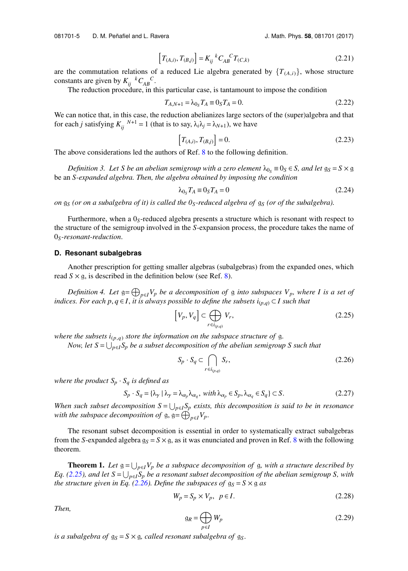081701-5 D. M. Peñafiel and L. Ravera **1980 1201 1201 1201 1201 1201 1201 1201** J. Math. Phys. **58**, 081701 (2017)

$$
\left[T_{(A,i)}, T_{(B,j)}\right] = K_{ij}{}^{k} C_{AB}{}^{C} T_{(C,k)} \tag{2.21}
$$

are the commutation relations of a reduced Lie algebra generated by  $\{T_{(A,i)}\}$ , whose structure constants are given by  $K_{ij}^{k} C_{AB}^{C}$ .

The reduction procedure, in this particular case, is tantamount to impose the condition

$$
T_{A,N+1} = \lambda_{0_S} T_A \equiv 0_S T_A = 0.
$$
\n(2.22)

We can notice that, in this case, the reduction abelianizes large sectors of the (super)algebra and that for each *j* satisfying  $K_{ij}^{N+1} = 1$  (that is to say,  $\lambda_i \lambda_j = \lambda_{N+1}$ ), we have

$$
\[T_{(A,i)}, T_{(B,j)}\] = 0.\tag{2.23}
$$

The above considerations led the authors of Ref. [8](#page-29-6) to the following definition.

*Definition 3. Let S be an abelian semigroup with a zero element*  $\lambda_{0s} \equiv 0_s \in S$ , and let  $g_s = S \times g$ be an *S-expanded algebra. Then, the algebra obtained by imposing the condition*

<span id="page-6-2"></span>
$$
\lambda_{0_S} T_A \equiv 0_S T_A = 0 \tag{2.24}
$$

*on* g*<sup>S</sup> (or on a subalgebra of it) is called the 0S-reduced algebra of* g*<sup>S</sup> (or of the subalgebra).*

Furthermore, when a  $0<sub>S</sub>$ -reduced algebra presents a structure which is resonant with respect to the structure of the semigroup involved in the *S*-expansion process, the procedure takes the name of 0*S-resonant-reduction*.

## **D. Resonant subalgebras**

Another prescription for getting smaller algebras (subalgebras) from the expanded ones, which read  $S \times g$ , is described in the definition below (see Ref. [8\)](#page-29-6).

*Definition 4. Let*  $g = \bigoplus_{p \in I} V_p$  *be a decomposition of* g *into subspaces*  $V_p$ *, where I is a set of indices. For each p,*  $q \in I$ *, it is always possible to define the subsets*  $i_{(p,q)} \subset I$  such that

<span id="page-6-0"></span>
$$
\left[V_p, V_q\right] \subset \bigoplus_{r \in i_{(p,q)}} V_r,\tag{2.25}
$$

*where the subsets*  $i_{(p,q)}$  *store the information on the subspace structure of* g.

*Now, let* S = ∪<sub>p∈*I*</sub>S<sub>p</sub> be a subset decomposition of the abelian semigroup S such that

<span id="page-6-3"></span><span id="page-6-1"></span>
$$
S_p \cdot S_q \subset \bigcap_{r \in i_{(p,q)}} S_r,\tag{2.26}
$$

*where the product*  $S_p \cdot S_q$  *is defined as* 

$$
S_p \cdot S_q = \{ \lambda_\gamma \mid \lambda_\gamma = \lambda_{\alpha_p} \lambda_{\alpha_q}, \text{ with } \lambda_{\alpha_p} \in S_p, \lambda_{\alpha_q} \in S_q \} \subset S. \tag{2.27}
$$

*When such subset decomposition*  $S = \bigcup_{p \in I} S_p$  *exists, this decomposition is said to be in resonance with the subspace decomposition of*  $g$ ,  $g = \bigoplus_{p \in I} V_p$ .

The resonant subset decomposition is essential in order to systematically extract subalgebras from the *S*-expanded algebra  $g_S = S \times g$ , as it was enunciated and proven in Ref. [8](#page-29-6) with the following theorem.

**Theorem 1.** Let  $g = \bigcup_{p \in I} V_p$  be a subspace decomposition of g, with a structure described by *Eq.* [\(2.25\)](#page-6-0), and let  $S = \bigcup_{p \in I} S_p$  be a resonant subset decomposition of the abelian semigroup S, with *the structure given in Eq. [\(2.26\)](#page-6-1). Define the subspaces of*  $g_S = S \times g$  *as* 

$$
W_p = S_p \times V_p, \quad p \in I. \tag{2.28}
$$

*Then,*

$$
g_R = \bigoplus_{p \in I} W_p \tag{2.29}
$$

*is a subalgebra of*  $g_S = S \times g$ *, called resonant subalgebra of*  $g_S$ *.*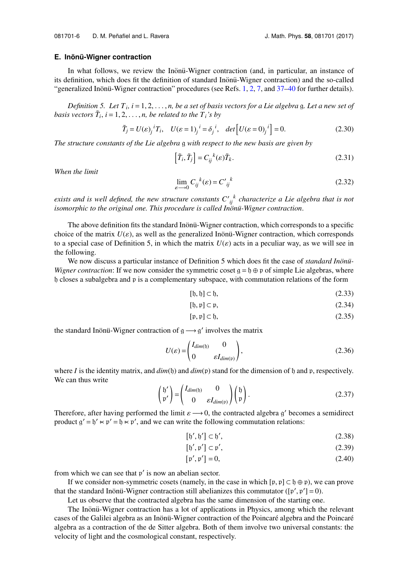#### **E.** Inönü-Wigner contraction

In what follows, we review the Inonu-Wigner contraction (and, in particular, an instance of its definition, which does fit the definition of standard Inonu-Wigner contraction) and the so-called "generalized Inonü-Wigner contraction" procedures (see Refs. [1,](#page-29-0) [2,](#page-29-1) [7,](#page-29-5) and  $37-40$  $37-40$  for further details).

*Definition 5. Let*  $T_i$ ,  $i = 1, 2, ..., n$ , *be a set of basis vectors for a Lie algebra* g*. Let a new set of synctors*  $\tilde{T}$ ,  $i = 1, 2, ..., n$ , *be related to the*  $T_i$ 's *by basis vectors*  $\tilde{T}_i$ ,  $i = 1, 2, ..., n$ , *be related to the*  $T_i$ *'s by* g

$$
\tilde{T}_j = U(\varepsilon)_j^i T_i, \quad U(\varepsilon = 1)_j^i = \delta_j^i, \quad \det\left[U(\varepsilon = 0)_j^i\right] = 0. \tag{2.30}
$$

*The structure constants of the Lie algebra* g *with respect to the new basis are given by* f g

$$
\left[\tilde{T}_i, \tilde{T}_j\right] = C_{ij}^{\ \ k}(\varepsilon) \tilde{T}_k. \tag{2.31}
$$

*When the limit*

$$
\lim_{\varepsilon \to 0} C_{ij}^{\ k}(\varepsilon) = C'_{ij}^{\ k} \tag{2.32}
$$

*exists and is well defined, the new structure constants*  $C'_{ij}^k$  *characterize a Lie algebra that is not isomorphic to the original one. This procedure is called Inönü-Wigner contraction.* 

The above definition fits the standard Inonu-Wigner contraction, which corresponds to a specific choice of the matrix  $U(\varepsilon)$ , as well as the generalized Inonu-Wigner contraction, which corresponds to a special case of Definition 5, in which the matrix  $U(\varepsilon)$  acts in a peculiar way, as we will see in the following.

We now discuss a particular instance of Definition 5 which does fit the case of *standard Inon*ü-*Wigner contraction*: If we now consider the symmetric coset  $g = f \oplus \varphi$  of simple Lie algebras, where h closes a subalgebra and p is a complementary subspace, with commutation relations of the form

$$
[\mathfrak{h}, \mathfrak{h}] \subset \mathfrak{h},\tag{2.33}
$$

$$
[\mathfrak{h}, \mathfrak{p}] \subset \mathfrak{p},\tag{2.34}
$$

$$
[\mathfrak{p}, \mathfrak{p}] \subset \mathfrak{h},\tag{2.35}
$$

the standard Inönü-Wigner contraction of  $g \rightarrow g'$  involves the matrix

$$
U(\varepsilon) = \begin{pmatrix} I_{dim(\mathfrak{h})} & 0 \\ 0 & \varepsilon I_{dim(\mathfrak{p})} \end{pmatrix},\tag{2.36}
$$

where *I* is the identity matrix, and  $dim(f)$  and  $dim(p)$  stand for the dimension of h and p, respectively. We can thus write

$$
\begin{pmatrix} \mathfrak{h}' \\ \mathfrak{p}' \end{pmatrix} = \begin{pmatrix} I_{dim(\mathfrak{h})} & 0 \\ 0 & \varepsilon I_{dim(\mathfrak{p})} \end{pmatrix} \begin{pmatrix} \mathfrak{h} \\ \mathfrak{p} \end{pmatrix}.
$$
 (2.37)

Therefore, after having performed the limit  $\varepsilon \longrightarrow 0$ , the contracted algebra g' becomes a semidirect product  $a' = b' \times b' = b \times a'$  and we can write the following commutation relations: product  $g' = b' \lt \phi' = b \lt \phi'$ , and we can write the following commutation relations:

$$
[\mathfrak{h}', \mathfrak{h}'] \subset \mathfrak{h}',\tag{2.38}
$$

$$
[\mathfrak{h}', \mathfrak{p}'] \subset \mathfrak{p}',\tag{2.39}
$$

$$
[\mathfrak{p}', \mathfrak{p}'] = 0,\tag{2.40}
$$

from which we can see that  $p'$  is now an abelian sector.

If we consider non-symmetric cosets (namely, in the case in which  $[p, p] \subset \mathfrak{h} \oplus p$ ), we can prove that the standard Inönü-Wigner contraction still abelianizes this commutator ( $[p', p'] = 0$ ).

Let us observe that the contracted algebra has the same dimension of the starting one.

The Inönü-Wigner contraction has a lot of applications in Physics, among which the relevant cases of the Galilei algebra as an Inönü-Wigner contraction of the Poincaré algebra and the Poincaré algebra as a contraction of the de Sitter algebra. Both of them involve two universal constants: the velocity of light and the cosmological constant, respectively.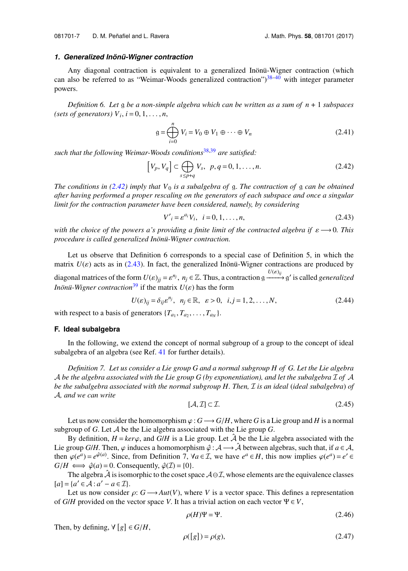#### *1. Generalized Inon¨ u-Wigner contraction ¨*

Any diagonal contraction is equivalent to a generalized Inönü-Wigner contraction (which can also be referred to as "Weimar-Woods generalized contraction") $38-40$  $38-40$  with integer parameter powers.

*Definition 6. Let* g *be a non-simple algebra which can be written as a sum of n* + 1 *subspaces* (sets of generators)  $V_i$ ,  $i = 0, 1, \ldots, n$ ,

<span id="page-8-0"></span>
$$
g = \bigoplus_{i=0}^{n} V_i = V_0 \oplus V_1 \oplus \cdots \oplus V_n
$$
 (2.41)

such that the following Weimar-Woods conditions<sup>[38](#page-30-6)[,39](#page-30-7)</sup> are satisfied:

$$
\left[V_p, V_q\right] \subset \bigoplus_{s \le p+q} V_s, \ \ p, q = 0, 1, \dots, n. \tag{2.42}
$$

*The conditions in [\(2.42\)](#page-8-0) imply that V*<sup>0</sup> *is a subalgebra of* g. *The contraction of* g *can be obtained after having performed a proper rescaling on the generators of each subspace and once a singular limit for the contraction parameter have been considered, namely, by considering*

<span id="page-8-1"></span>
$$
V'_{i} = \varepsilon^{a_{i}} V_{i}, \quad i = 0, 1, ..., n,
$$
\n(2.43)

*with the choice of the powers a's providing a finite limit of the contracted algebra if*  $\varepsilon \longrightarrow 0$ . This *procedure is called generalized Inönü-Wigner contraction.* 

Let us observe that Definition 6 corresponds to a special case of Definition 5, in which the matrix  $U(\varepsilon)$  acts as in [\(2.43\)](#page-8-1). In fact, the generalized Inonü-Wigner contractions are produced by diagonal matrices of the form  $U(\varepsilon)_{jj} = \varepsilon^{n_j}$ ,  $n_j \in \mathbb{Z}$ . Thus, a contraction  $g \xrightarrow{U(\varepsilon)_{ij}} g'$  is called *generalized Inonii*-*Wigner contraction*<sup>[39](#page-30-7)</sup> if the matrix  $U(\varepsilon)$  has the form

$$
U(\varepsilon)_{ij} = \delta_{ij}\varepsilon^{n_j}, \quad n_j \in \mathbb{R}, \quad \varepsilon > 0, \quad i, j = 1, 2, \dots, N,
$$
\n
$$
(2.44)
$$

with respect to a basis of generators  ${T_{a_1}, T_{a_2}, \ldots, T_{a_N}}$ .

#### <span id="page-8-2"></span>**F. Ideal subalgebra**

In the following, we extend the concept of normal subgroup of a group to the concept of ideal subalgebra of an algebra (see Ref. [41](#page-30-8) for further details).

*Definition 7. Let us consider a Lie group G and a normal subgroup H of G. Let the Lie algebra* A *be the algebra associated with the Lie group G (by exponentiation), and let the subalgebra* I *of* A *be the subalgebra associated with the normal subgroup H. Then,* I *is an ideal* (*ideal subalgebra*) *of* A*, and we can write*

$$
[\mathcal{A}, \mathcal{I}] \subset \mathcal{I}.\tag{2.45}
$$

Let us now consider the homomorphism  $\varphi$  :  $G \longrightarrow G/H$ , where G is a Lie group and H is a normal subgroup of *G*. Let A be the Lie algebra associated with the Lie group *G*.

By definition,  $H = \text{ker}\varphi$ , and  $G/H$  is a Lie group. Let  $\hat{\mathcal{A}}$  be the Lie algebra associated with the Lie group *G*/*H*. Then,  $\varphi$  induces a homomorphism  $\hat{\varphi}$ :  $\mathcal{A} \longrightarrow \hat{\mathcal{A}}$  between algebras, such that, if  $a \in \mathcal{A}$ , then  $\varphi(e^a) = e^{\hat{\varphi}(a)}$ . Since, from Definition 7,  $\forall a \in \mathcal{I}$ , we have  $e^a \in H$ , this now implies  $\varphi(e^a) = e' \in$ <br> $G/H \longleftrightarrow \hat{\varphi}(a) = 0$ . Consequently  $\hat{\varphi}(T) = 0$  $G/H \iff \hat{\varphi}(a) = 0$ . Consequently,  $\hat{\varphi}(\mathcal{I}) = \{0\}.$ 

The algebra  $\hat{A}$  is isomorphic to the coset space  $A \ominus \mathcal{I}$ , whose elements are the equivalence classes  $[a] = \{a' \in \mathcal{A} : a' - a \in \mathcal{I}\}.$ 

Let us now consider  $\rho: G \longrightarrow Aut(V)$ , where V is a vector space. This defines a representation of *G*/*H* provided on the vector space *V*. It has a trivial action on each vector  $\Psi \in V$ ,

$$
\rho(H)\Psi = \Psi.
$$
\n(2.46)

Then, by defining,  $\forall [g] \in G/H$ ,

$$
\rho([g]) = \rho(g),\tag{2.47}
$$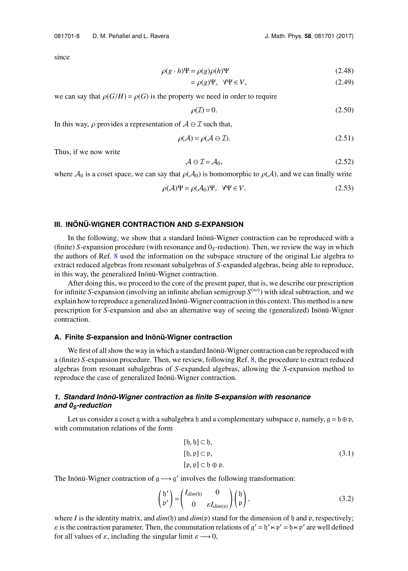since

$$
\rho(g \cdot h)\Psi = \rho(g)\rho(h)\Psi
$$
\n(2.48)

$$
= \rho(g)\Psi, \ \ \forall \Psi \in V,\tag{2.49}
$$

we can say that  $\rho(G/H) = \rho(G)$  is the property we need in order to require

$$
\rho(\mathcal{I}) = 0. \tag{2.50}
$$

In this way,  $\rho$  provides a representation of  $A \ominus \mathcal{I}$  such that,

$$
\rho(\mathcal{A}) = \rho(\mathcal{A} \ominus \mathcal{I}).\tag{2.51}
$$

Thus, if we now write

$$
\mathcal{A} \ominus \mathcal{I} = \mathcal{A}_0,\tag{2.52}
$$

where  $\mathcal{A}_0$  is a coset space, we can say that  $\rho(\mathcal{A}_0)$  is homomorphic to  $\rho(\mathcal{A})$ , and we can finally write

$$
\rho(\mathcal{A})\Psi = \rho(\mathcal{A}_0)\Psi, \quad \forall \Psi \in V.
$$
\n(2.53)

## <span id="page-9-0"></span>**III. INON¨ U-WIGNER CONTRACTION AND ¨** *S***-EXPANSION**

In the following, we show that a standard Inönü-Wigner contraction can be reproduced with a (finite) *S*-expansion procedure (with resonance and 0*S*-reduction). Then, we review the way in which the authors of Ref. [8](#page-29-6) used the information on the subspace structure of the original Lie algebra to extract reduced algebras from resonant subalgebras of *S*-expanded algebras, being able to reproduce, in this way, the generalized Inönü-Wigner contraction.

After doing this, we proceed to the core of the present paper, that is, we describe our prescription for infinite *S*-expansion (involving an infinite abelian semigroup  $S^{(\infty)}$ ) with ideal subtraction, and we explain how to reproduce a generalized Inonü-Wigner contraction in this context. This method is a new prescription for *S*-expansion and also an alternative way of seeing the (generalized) Inönü-Wigner contraction.

#### **A. Finite** *S***-expansion and Inon¨ u-Wigner contraction ¨**

We first of all show the way in which a standard Inönü-Wigner contraction can be reproduced with a (finite) *S*-expansion procedure. Then, we review, following Ref. [8,](#page-29-6) the procedure to extract reduced algebras from resonant subalgebras of *S*-expanded algebras, allowing the *S*-expansion method to reproduce the case of generalized Inönü-Wigner contraction.

## *1. Standard Inon¨ u-Wigner contraction as finite S-expansion with resonance ¨ and 0S-reduction*

Let us consider a coset g with a subalgebra h and a complementary subspace p, namely,  $g = h \oplus p$ , with commutation relations of the form

$$
[0, b] \subset b,
$$
  
\n
$$
[b, p] \subset p,
$$
  
\n
$$
[p, p] \subset b \oplus p.
$$
  
\n(3.1)

The Inönü-Wigner contraction of  $g \rightarrow g'$  involves the following transformation:

<span id="page-9-1"></span>
$$
\begin{pmatrix} \mathfrak{h}' \\ \mathfrak{p}' \end{pmatrix} = \begin{pmatrix} I_{dim(\mathfrak{h})} & 0 \\ 0 & \varepsilon I_{dim(\mathfrak{p})} \end{pmatrix} \begin{pmatrix} \mathfrak{h} \\ \mathfrak{p} \end{pmatrix},
$$
(3.2)

where *I* is the identity matrix, and  $dim(f)$  and  $dim(f)$  stand for the dimension of  $f$  and  $p$ , respectively;  $\varepsilon$  is the contraction parameter. Then, the commutation relations of  $g' = f' \ltimes p' = f \ltimes p'$  are well defined<br>for all values of  $\varepsilon$ , including the singular limit  $\varepsilon \to 0$ for all values of  $\varepsilon$ , including the singular limit  $\varepsilon \longrightarrow 0$ ,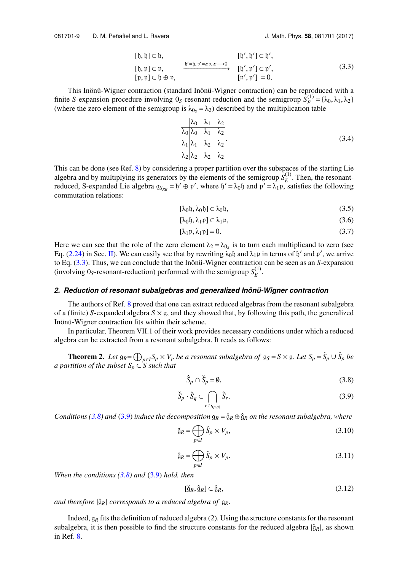$$
[0, b] \subset b,
$$
  
\n
$$
[b, b] \subset b,
$$
  
\n
$$
[b', b'] \subset b',
$$
  
\n
$$
[b', b'] \subset b',
$$
  
\n
$$
[b', b'] \subset b',
$$
  
\n
$$
[b', b'] \subset b',
$$
  
\n
$$
[b', b'] \subset b',
$$
  
\n
$$
[b', b'] \subset b',
$$
  
\n
$$
[b', b'] \subset b',
$$
  
\n
$$
[b', b'] = 0.
$$
  
\n(3.3)

This Inönü-Wigner contraction (standard Inönü-Wigner contraction) can be reproduced with a finite *S*-expansion procedure involving 0<sub>S</sub>-resonant-reduction and the semigroup  $\hat{S}_E^{(1)}$  $E^{(1)} = {\lambda_0, \lambda_1, \lambda_2}$ (where the zero element of the semigroup is  $\lambda_{0s} = \lambda_2$ ) described by the multiplication table

$$
\frac{\lambda_0}{\lambda_0} \frac{\lambda_1}{\lambda_0} \frac{\lambda_2}{\lambda_1} \n\lambda_1 \frac{\lambda_1}{\lambda_1} \frac{\lambda_2}{\lambda_2} \frac{\lambda_2}{\lambda_2} \n\lambda_2 \frac{\lambda_2}{\lambda_2} \frac{\lambda_3}{\lambda_3}
$$
\n(3.4)

This can be done (see Ref. [8\)](#page-29-6) by considering a proper partition over the subspaces of the starting Lie algebra and by multiplying its generators by the elements of the semigroup  $S_F^{(1)}$  $E^{(1)}$ . Then, the resonantreduced, S-expanded Lie algebra  $g_{S_{RR}} = b' \oplus p'$ , where  $b' = \lambda_0 b$  and  $p' = \lambda_1 p$ , satisfies the following commutation relations:

$$
[\lambda_0 \mathfrak{h}, \lambda_0 \mathfrak{h}] \subset \lambda_0 \mathfrak{h},\tag{3.5}
$$

$$
[\lambda_0 \mathfrak{h}, \lambda_1 \mathfrak{p}] \subset \lambda_1 \mathfrak{p},\tag{3.6}
$$

$$
[\lambda_1 \mathfrak{p}, \lambda_1 \mathfrak{p}] = 0. \tag{3.7}
$$

Here we can see that the role of the zero element  $\lambda_2 = \lambda_{0_S}$  is to turn each multiplicand to zero (see Eq. [\(2.24\)](#page-6-2) in Sec. [II\)](#page-4-0). We can easily see that by rewriting  $\lambda_0$  h and  $\lambda_1$  p in terms of h' and p', we arrive to Eq. [\(3.3\)](#page-9-1). Thus, we can conclude that the Inönü-Wigner contraction can be seen as an S-expansion (involving  $0_S$ -resonant-reduction) performed with the semigroup  $S_F^{(1)}$ *E* .

#### 2. Reduction of resonant subalgebras and generalized Inönü-Wigner contraction

The authors of Ref. [8](#page-29-6) proved that one can extract reduced algebras from the resonant subalgebra of a (finite) *S*-expanded algebra  $S \times g$ , and they showed that, by following this path, the generalized Inönü-Wigner contraction fits within their scheme.

In particular, Theorem VII.1 of their work provides necessary conditions under which a reduced algebra can be extracted from a resonant subalgebra. It reads as follows:

**Theorem 2.** Let  $g_R = \bigoplus_{p \in I} S_p \times V_p$  be a resonant subalgebra of  $g_S = S \times g$ . Let  $S_p = \hat{S}_p \cup \check{S}_p$  be *a partition of the subset*  $S_p \subset S$  *such that* 

<span id="page-10-0"></span>
$$
\hat{S}_p \cap \check{S}_p = \emptyset,\tag{3.8}
$$

$$
\check{S}_p \cdot \hat{S}_q \subset \bigcap_{r \in i_{(p,q)}} \hat{S}_r. \tag{3.9}
$$

<span id="page-10-1"></span>*Conditions* [\(3.8\)](#page-10-0) *and* [\(3.9\)](#page-10-1) *induce the decomposition*  $g_R = \check{g}_R \oplus \hat{g}_R$  *on the resonant subalgebra, where* 

$$
\check{g}_R = \bigoplus_{p \in I} \check{S}_p \times V_p,\tag{3.10}
$$

$$
\hat{\mathfrak{g}}_R = \bigoplus_{p \in I} \hat{S}_p \times V_p. \tag{3.11}
$$

*When the conditions [\(3.8\)](#page-10-0) and* [\(3.9\)](#page-10-1) *hold, then*

$$
[\tilde{g}_R, \hat{g}_R] \subset \hat{g}_R,\tag{3.12}
$$

*and therefore*  $|\check{g}_R|$  *corresponds to a reduced algebra of*  $g_R$ *.* 

Indeed, g*<sup>R</sup>* fits the definition of reduced algebra (2). Using the structure constants for the resonant subalgebra, it is then possible to find the structure constants for the reduced algebra  $|\check{g}_R|$ , as shown in Ref. [8.](#page-29-6)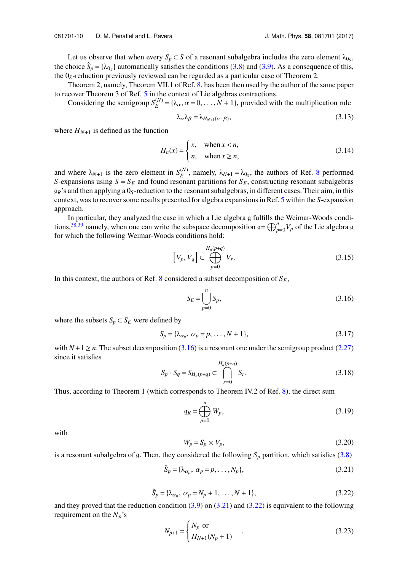Let us observe that when every  $S_p \subset S$  of a resonant subalgebra includes the zero element  $\lambda_{0_S}$ , the choice  $\hat{S}_p = {\lambda_0}_{s}$  automatically satisfies the conditions [\(3.8\)](#page-10-0) and [\(3.9\)](#page-10-1). As a consequence of this, the 0*S*-reduction previously reviewed can be regarded as a particular case of Theorem 2.

Theorem 2, namely, Theorem VII.1 of Ref. [8,](#page-29-6) has been then used by the author of the same paper to recover Theorem 3 of Ref. [5](#page-29-4) in the context of Lie algebras contractions.

Considering the semigroup  $S_F^{(N)}$  $E_E^{(N)} = {\lambda_\alpha, \alpha = 0, \dots, N + 1}$ , provided with the multiplication rule

$$
\lambda_{\alpha}\lambda_{\beta} = \lambda_{H_{N+1}(\alpha+\beta)},\tag{3.13}
$$

where  $H_{N+1}$  is defined as the function

$$
H_n(x) = \begin{cases} x, & \text{when } x < n, \\ n, & \text{when } x \ge n, \end{cases} \tag{3.14}
$$

and where  $\lambda_{N+1}$  is the zero element in  $S_E^{(N)}$  $E_E^{(N)}$ , namely,  $\lambda_{N+1} = \lambda_{0_S}$ , the authors of Ref. [8](#page-29-6) performed *S*-expansions using  $S = S_E$  and found resonant partitions for  $S_E$ , constructing resonant subalgebras  $g_R$ 's and then applying a  $0_S$ -reduction to the resonant subalgebras, in different cases. Their aim, in this context, was to recover some results presented for algebra expansions in Ref. [5](#page-29-4) within the *S*-expansion approach.

In particular, they analyzed the case in which a Lie algebra g fulfills the Weimar-Woods condi-tions,<sup>[38,](#page-30-6)[39](#page-30-7)</sup> namely, when one can write the subspace decomposition  $g = \bigoplus_{p=0}^{n} V_p$  of the Lie algebra g for which the following Weimar-Woods conditions hold:

$$
\left[V_p, V_q\right] \subset \bigoplus_{p=0}^{H_n(p+q)} V_r. \tag{3.15}
$$

In this context, the authors of Ref.  $8$  considered a subset decomposition of  $S_E$ ,

<span id="page-11-0"></span>
$$
S_E = \bigcup_{p=0}^{n} S_p,
$$
\n(3.16)

where the subsets  $S_p \subset S_E$  were defined by

$$
S_p = \{\lambda_{\alpha_p}, \ \alpha_p = p, \dots, N+1\},\tag{3.17}
$$

with  $N + 1 \ge n$ . The subset decomposition [\(3.16\)](#page-11-0) is a resonant one under the semigroup product [\(2.27\)](#page-6-3) since it satisfies

$$
S_p \cdot S_q = S_{H_n(p+q)} \subset \bigcap_{r=0}^{H_n(p+q)} S_r. \tag{3.18}
$$

Thus, according to Theorem 1 (which corresponds to Theorem IV.2 of Ref. [8\)](#page-29-6), the direct sum

$$
\mathfrak{g}_R = \bigoplus_{p=0}^n W_p,\tag{3.19}
$$

with

<span id="page-11-1"></span>
$$
W_p = S_p \times V_p,\tag{3.20}
$$

<span id="page-11-2"></span>is a resonant subalgebra of g. Then, they considered the following  $S_p$  partition, which satisfies [\(3.8\)](#page-10-0)

$$
\check{S}_p = \{\lambda_{\alpha_p}, \ \alpha_p = p, \dots, N_p\},\tag{3.21}
$$

$$
\hat{S}_p = \{\lambda_{\alpha_p}, \ \alpha_p = N_p + 1, \dots, N + 1\},\tag{3.22}
$$

and they proved that the reduction condition  $(3.9)$  on  $(3.21)$  and  $(3.22)$  is equivalent to the following requirement on the  $N_p$ 's

$$
N_{p+1} = \begin{cases} N_p & \text{or} \\ H_{N+1}(N_p + 1) \end{cases}
$$
 (3.23)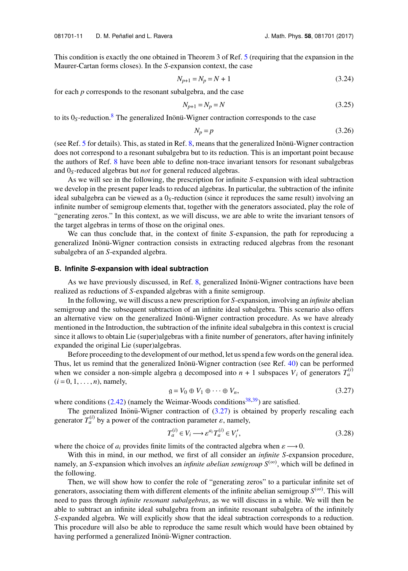This condition is exactly the one obtained in Theorem 3 of Ref. [5](#page-29-4) (requiring that the expansion in the Maurer-Cartan forms closes). In the *S*-expansion context, the case

$$
N_{p+1} = N_p = N + 1\tag{3.24}
$$

for each *p* corresponds to the resonant subalgebra, and the case

$$
N_{p+1} = N_p = N \tag{3.25}
$$

to its  $0<sub>S</sub>$ -reduction.<sup>[8](#page-29-6)</sup> The generalized Inönü-Wigner contraction corresponds to the case

$$
N_p = p \tag{3.26}
$$

(see Ref. [5](#page-29-4) for details). This, as stated in Ref.  $8$ , means that the generalized Inonu-Wigner contraction does not correspond to a resonant subalgebra but to its reduction. This is an important point because the authors of Ref. [8](#page-29-6) have been able to define non-trace invariant tensors for resonant subalgebras and 0*S*-reduced algebras but *not* for general reduced algebras.

As we will see in the following, the prescription for infinite *S*-expansion with ideal subtraction we develop in the present paper leads to reduced algebras. In particular, the subtraction of the infinite ideal subalgebra can be viewed as a 0*S*-reduction (since it reproduces the same result) involving an infinite number of semigroup elements that, together with the generators associated, play the role of "generating zeros." In this context, as we will discuss, we are able to write the invariant tensors of the target algebras in terms of those on the original ones.

We can thus conclude that, in the context of finite *S*-expansion, the path for reproducing a generalized Inonü-Wigner contraction consists in extracting reduced algebras from the resonant subalgebra of an *S*-expanded algebra.

#### <span id="page-12-1"></span>**B. Infinite** *S***-expansion with ideal subtraction**

As we have previously discussed, in Ref. [8,](#page-29-6) generalized Inonu-Wigner contractions have been realized as reductions of *S*-expanded algebras with a finite semigroup.

In the following, we will discuss a new prescription for *S*-expansion, involving an *infinite* abelian semigroup and the subsequent subtraction of an infinite ideal subalgebra. This scenario also offers an alternative view on the generalized Inönü-Wigner contraction procedure. As we have already mentioned in the Introduction, the subtraction of the infinite ideal subalgebra in this context is crucial since it allows to obtain Lie (super)algebras with a finite number of generators, after having infinitely expanded the original Lie (super)algebras.

Before proceeding to the development of our method, let us spend a few words on the general idea. Thus, let us remind that the generalized Inonü-Wigner contraction (see Ref.  $40$ ) can be performed when we consider a non-simple algebra g decomposed into  $n + 1$  subspaces  $V_i$  of generators  $T_a^{(i)}$  $(i = 0, 1, \ldots, n)$ , namely,

<span id="page-12-0"></span>
$$
g = V_0 \oplus V_1 \oplus \cdots \oplus V_n, \tag{3.27}
$$

where conditions  $(2.42)$  (namely the Weimar-Woods conditions<sup>[38](#page-30-6)[,39](#page-30-7)</sup>) are satisfied.

The generalized Inönü-Wigner contraction of  $(3.27)$  $(3.27)$  is obtained by properly rescaling each generator  $T_a^{(i)}$  by a power of the contraction parameter  $\varepsilon$ , namely,

$$
T_a^{(i)} \in V_i \longrightarrow \varepsilon^{a_i} T_a^{(i)} \in V_i',\tag{3.28}
$$

where the choice of  $a_i$  provides finite limits of the contracted algebra when  $\varepsilon \longrightarrow 0$ .

With this in mind, in our method, we first of all consider an *infinite S*-expansion procedure, namely, an *S*-expansion which involves an *infinite abelian semigroup S*(∞) , which will be defined in the following.

Then, we will show how to confer the role of "generating zeros" to a particular infinite set of generators, associating them with different elements of the infinite abelian semigroup  $S^{(\infty)}$ . This will need to pass through *infinite resonant subalgebras*, as we will discuss in a while. We will then be able to subtract an infinite ideal subalgebra from an infinite resonant subalgebra of the infinitely *S*-expanded algebra. We will explicitly show that the ideal subtraction corresponds to a reduction. This procedure will also be able to reproduce the same result which would have been obtained by having performed a generalized Inönü-Wigner contraction.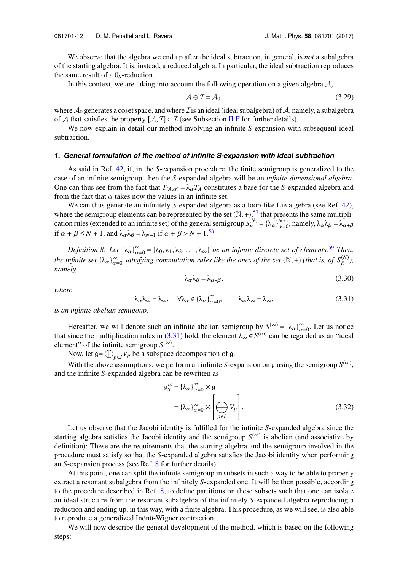We observe that the algebra we end up after the ideal subtraction, in general, is *not* a subalgebra of the starting algebra. It is, instead, a reduced algebra. In particular, the ideal subtraction reproduces the same result of a 0*S*-reduction.

In this context, we are taking into account the following operation on a given algebra  $A$ ,

$$
\mathcal{A} \ominus \mathcal{I} = \mathcal{A}_0,\tag{3.29}
$$

where  $\mathcal{A}_0$  generates a coset space, and where  $\mathcal{I}$  is an ideal (ideal subalgebra) of  $\mathcal{A}$ , namely, a subalgebra of A that satisfies the property  $[A, \mathcal{I}] \subset \mathcal{I}$  (see Subsection [II F](#page-8-2) for further details).

We now explain in detail our method involving an infinite *S*-expansion with subsequent ideal subtraction.

#### *1. General formulation of the method of infinite S-expansion with ideal subtraction*

As said in Ref. [42,](#page-30-9) if, in the *S*-expansion procedure, the finite semigroup is generalized to the case of an infinite semigroup, then the *S*-expanded algebra will be an *infinite-dimensional algebra*. One can thus see from the fact that  $T_{(A,\alpha)} = \lambda_{\alpha} T_A$  constitutes a base for the *S*-expanded algebra and from the fact that  $\alpha$  takes now the values in an infinite set.

We can thus generate an infinitely *S*-expanded algebra as a loop-like Lie algebra (see Ref. [42\)](#page-30-9), where the semigroup elements can be represented by the set  $(N, +)$ ,<sup>[57](#page-31-0)</sup> that presents the same multiplication rules (extended to an infinite set) of the general semigroup  $S_F^{(N)}$  $E_E^{(N)} = {\lambda_\alpha \}_{\alpha=0}^{N+1}$ , namely,  $\lambda_\alpha \lambda_\beta = \lambda_{\alpha+\beta}$ if  $\alpha + \beta \leq N + 1$ , and  $\lambda_{\alpha} \lambda_{\beta} = \lambda_{N+1}$  if  $\alpha + \beta > N + 1$ .<sup>[58](#page-31-1)</sup>

<span id="page-13-1"></span>*Definition 8. Let*  $\{\lambda_{\alpha}\}_{\alpha=0}^{\infty} = \{\lambda_0, \lambda_1, \lambda_2, \ldots, \lambda_{\infty}\}$  *be an infinite discrete set of elements.*<sup>[59](#page-31-2)</sup> *Then,*<br>*afinite set*  $\{\lambda_n\}_{n=0}^{\infty}$  *setioning equivalenting rules like the area of the act* (N +) ( *the infinite set*  $\{\lambda_{\alpha}\}_{\alpha=0}^{\infty}$  *satisfying commutation rules like the ones of the set*  $(\mathbb{N}, +)$  *(that is, of*  $S_E^{(N)}$ *), namely namely,*

$$
\lambda_{\alpha}\lambda_{\beta} = \lambda_{\alpha+\beta},\tag{3.30}
$$

<span id="page-13-0"></span>*where*

$$
\lambda_{\alpha}\lambda_{\infty} = \lambda_{\infty}, \quad \forall \lambda_{\alpha} \in {\{\lambda_{\alpha}\}}_{\alpha=0}^{\infty}, \qquad \lambda_{\infty}\lambda_{\infty} = \lambda_{\infty}, \tag{3.31}
$$

*is an infinite abelian semigoup.*

Hereafter, we will denote such an infinite abelian semigroup by  $S^{(\infty)} = {\lambda_{\alpha}}_{\alpha=0}^{\infty}$ . Let us notice that since the multiplication rules in [\(3.31\)](#page-13-0) hold, the element  $\lambda_{\infty} \in S^{(\infty)}$  can be regarded as an "ideal" element" of the infinite semigroup  $S^{(\infty)}$ .

Now, let  $g = \bigoplus_{p \in I} V_p$  be a subspace decomposition of g.

With the above assumptions, we perform an infinite *S*-expansion on g using the semigroup  $S^{(\infty)}$ , and the infinite *S*-expanded algebra can be rewritten as

$$
g_S^{\infty} = {\lambda_{\alpha}}_{\alpha=0}^{\infty} \times g
$$
  
=  ${\lambda_{\alpha}}_{\alpha=0}^{\infty} \times \left[\bigoplus_{p \in I} V_p\right].$  (3.32)

Let us observe that the Jacobi identity is fulfilled for the infinite *S*-expanded algebra since the starting algebra satisfies the Jacobi identity and the semigroup  $S^{(\infty)}$  is abelian (and associative by definition): These are the requirements that the starting algebra and the semigroup involved in the procedure must satisfy so that the *S*-expanded algebra satisfies the Jacobi identity when performing an *S*-expansion process (see Ref. [8](#page-29-6) for further details).

At this point, one can split the infinite semigroup in subsets in such a way to be able to properly extract a resonant subalgebra from the infinitely *S*-expanded one. It will be then possible, according to the procedure described in Ref. [8,](#page-29-6) to define partitions on these subsets such that one can isolate an ideal structure from the resonant subalgebra of the infinitely *S*-expanded algebra reproducing a reduction and ending up, in this way, with a finite algebra. This procedure, as we will see, is also able to reproduce a generalized Inönü-Wigner contraction.

We will now describe the general development of the method, which is based on the following steps: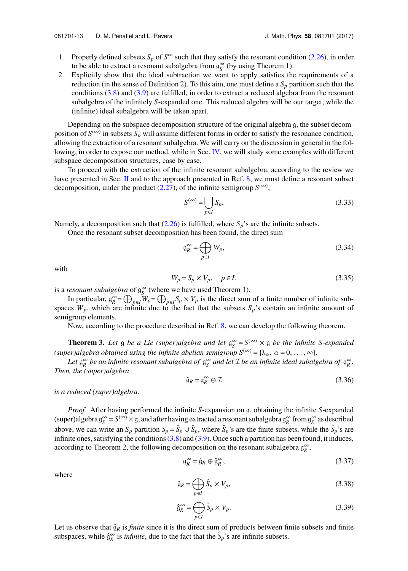- 1. Properly defined subsets  $S_p$  of  $S^{\infty}$  such that they satisfy the resonant condition [\(2.26\)](#page-6-1), in order to be able to extract a resonant subalgebra from  $g_S^{\infty}$  (by using Theorem 1).
- 2. Explicitly show that the ideal subtraction we want to apply satisfies the requirements of a reduction (in the sense of Definition 2). To this aim, one must define a  $S_p$  partition such that the conditions [\(3.8\)](#page-10-0) and [\(3.9\)](#page-10-1) are fulfilled, in order to extract a reduced algebra from the resonant subalgebra of the infinitely *S*-expanded one. This reduced algebra will be our target, while the (infinite) ideal subalgebra will be taken apart.

Depending on the subspace decomposition structure of the original algebra g, the subset decomposition of  $S^{(\infty)}$  in subsets  $S_p$  will assume different forms in order to satisfy the resonance condition, allowing the extraction of a resonant subalgebra. We will carry on the discussion in general in the fol-lowing, in order to expose our method, while in Sec. [IV,](#page-18-0) we will study some examples with different subspace decomposition structures, case by case.

To proceed with the extraction of the infinite resonant subalgebra, according to the review we have presented in Sec. [II](#page-4-0) and to the approach presented in Ref. [8,](#page-29-6) we must define a resonant subset decomposition, under the product  $(2.27)$ , of the infinite semigroup  $S^{(\infty)}$ ,

$$
S^{(\infty)} = \bigcup_{p \in I} S_p,\tag{3.33}
$$

Namely, a decomposition such that  $(2.26)$  is fulfilled, where  $S_p$ 's are the infinite subsets.

Once the resonant subset decomposition has been found, the direct sum

$$
\mathfrak{g}_R^{\infty} = \bigoplus_{p \in I} W_p,\tag{3.34}
$$

with

$$
W_p = S_p \times V_p, \quad p \in I,
$$
\n(3.35)

is a *resonant subalgebra* of  $g_S^{\infty}$  (where we have used Theorem 1).

In particular,  $g_k^{\infty} = \bigoplus_{p \in I} W_p = \bigoplus_{p \in I} S_p \times V_p$  is the direct sum of a finite number of infinite subspaces  $W_p$ , which are infinite due to the fact that the subsets  $S_p$ 's contain an infinite amount of semigroup elements.

Now, according to the procedure described in Ref. [8,](#page-29-6) we can develop the following theorem.

**Theorem 3.** Let g be a Lie (super)algebra and let  $g_S^{\infty} = S^{(\infty)} \times g$  be the infinite S-expanded *(super)algebra obtained using the infinite abelian semigroup*  $S^{(\infty)} = {\lambda_{\alpha}, \alpha = 0, \ldots, \infty}$ .

Let  $\mathfrak{g}_R^{\infty}$  be an infinite resonant subalgebra of  $\mathfrak{g}_S^{\infty}$  and let  $\mathcal I$  be an infinite ideal subalgebra of  $\mathfrak{g}_R^{\infty}$ . *Then, the (super)algebra*

$$
\check{g}_R = g_R^{\infty} \ominus \mathcal{I} \tag{3.36}
$$

*is a reduced (super)algebra.*

*Proof.* After having performed the infinite *S*-expansion on g, obtaining the infinite *S*-expanded  $(super) algebra g_S^\infty = S^{(\infty)} \times g$ , and after having extracted a resonant subalgebra  $g_R^\infty$  from  $g_S^\infty$  as described above, we can write an  $S_p$  partition  $S_p = \hat{S}_p \cup \check{S}_p$ , where  $\check{S}_p$ 's are the finite subsets, while the  $\hat{S}_p$ 's are infinite ones, satisfying the conditions  $(3.8)$  and  $(3.9)$ . Once such a partition has been found, it induces, according to Theorem 2, the following decomposition on the resonant subalgebra  $\mathfrak{g}_R^{\infty}$ ,

$$
\mathfrak{g}_R^{\infty} = \mathfrak{g}_R \oplus \mathfrak{g}_R^{\infty},\tag{3.37}
$$

where

$$
\check{g}_R = \bigoplus_{p \in I} \check{S}_p \times V_p,\tag{3.38}
$$

$$
\hat{\mathfrak{g}}_R^{\infty} = \bigoplus_{p \in I} \hat{S}_p \times V_p. \tag{3.39}
$$

Let us observe that  $\check{g}_R$  is *finite* since it is the direct sum of products between finite subsets and finite subspaces, while  $\hat{g}_R^{\infty}$  is *infinite*, due to the fact that the  $\hat{S}_p$ 's are infinite subsets.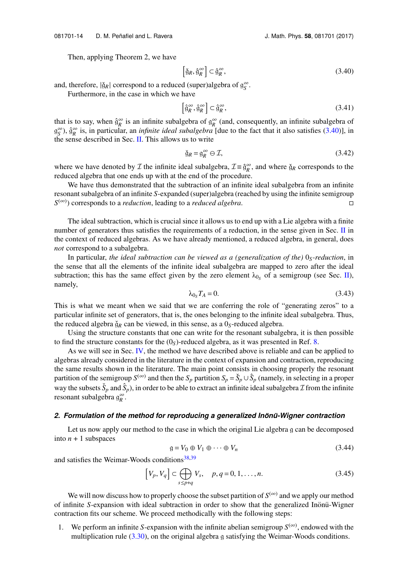Then, applying Theorem 2, we have

<span id="page-15-0"></span>
$$
\left[\check{g}_R, \hat{g}_R^{\infty}\right] \subset \hat{g}_R^{\infty},\tag{3.40}
$$

and, therefore,  $|\check{g}_R|$  correspond to a reduced (super)algebra of  $g_S^{\infty}$ .

Furthermore, in the case in which we have

$$
\left[\hat{\mathfrak{g}}_R^{\infty}, \hat{\mathfrak{g}}_R^{\infty}\right] \subset \hat{\mathfrak{g}}_R^{\infty},\tag{3.41}
$$

that is to say, when  $\hat{g}_R^{\infty}$  is an infinite subalgebra of  $g_R^{\infty}$  (and, consequently, an infinite subalgebra of  $g_S^{\infty}$ ),  $\hat{g}_R^{\infty}$  is, in particular, an *infinite ideal subalgebra* [due to the fact that it also satisfies [\(3.40\)](#page-15-0)], in the sense described in Sec. [II.](#page-4-0) This allows us to write

$$
\check{g}_R = g_R^{\infty} \ominus \mathcal{I},\tag{3.42}
$$

where we have denoted by  $\mathcal I$  the infinite ideal subalgebra,  $\mathcal I \equiv \hat{\mathfrak{g}}_R^{\infty}$ , and where  $\check{\mathfrak{g}}_R$  corresponds to the reduced algebra that one ends up with at the end of the procedure.

We have thus demonstrated that the subtraction of an infinite ideal subalgebra from an infinite resonant subalgebra of an infinite *S*-expanded (super)algebra (reached by using the infinite semigroup  $S^{(\infty)}$ ) corresponds to a *reduction*, leading to a *reduced algebra*.

The ideal subtraction, which is crucial since it allows us to end up with a Lie algebra with a finite number of generators thus satisfies the requirements of a reduction, in the sense given in Sec.  $\Pi$  in the context of reduced algebras. As we have already mentioned, a reduced algebra, in general, does *not* correspond to a subalgebra.

In particular, *the ideal subtraction can be viewed as a (generalization of the)* 0*S-reduction*, in the sense that all the elements of the infinite ideal subalgebra are mapped to zero after the ideal subtraction; this has the same effect given by the zero element  $\lambda_{0s}$  of a semigroup (see Sec. [II\)](#page-4-0), namely,

$$
\lambda_{0_S} T_A = 0. \tag{3.43}
$$

This is what we meant when we said that we are conferring the role of "generating zeros" to a particular infinite set of generators, that is, the ones belonging to the infinite ideal subalgebra. Thus, the reduced algebra  $\check{g}_R$  can be viewed, in this sense, as a  $0_S$ -reduced algebra.

Using the structure constants that one can write for the resonant subalgebra, it is then possible to find the structure constants for the  $(0<sub>S</sub>)$ -reduced algebra, as it was presented in Ref. [8.](#page-29-6)

As we will see in Sec. [IV,](#page-18-0) the method we have described above is reliable and can be applied to algebras already considered in the literature in the context of expansion and contraction, reproducing the same results shown in the literature. The main point consists in choosing properly the resonant partition of the semigroup  $S^{(\infty)}$  and then the  $S_p$  partition  $S_p = \check{S}_p \cup \hat{S}_p$  (namely, in selecting in a proper way the subsets  $\check{S}_p$  and  $\hat{S}_p$ ), in order to be able to extract an infinite ideal subalgebra  $\mathcal I$  from the infinite resonant subalgebra  $\mathfrak{g}_R^{\infty}$ .

#### 2. Formulation of the method for reproducing a generalized *Inönü-Wigner contraction*

Let us now apply our method to the case in which the original Lie algebra g can be decomposed into  $n + 1$  subspaces

$$
g = V_0 \oplus V_1 \oplus \cdots \oplus V_n \tag{3.44}
$$

and satisfies the Weimar-Woods conditions $38,39$  $38,39$ 

$$
\left[V_p, V_q\right] \subset \bigoplus_{s \le p+q} V_s, \quad p, q = 0, 1, \dots, n. \tag{3.45}
$$

We will now discuss how to properly choose the subset partition of  $S^{(\infty)}$  and we apply our method of infinite *S*-expansion with ideal subtraction in order to show that the generalized Inönü-Wigner contraction fits our scheme. We proceed methodically with the following steps:

1. We perform an infinite *S*-expansion with the infinite abelian semigroup  $S^{(\infty)}$ , endowed with the multiplication rule [\(3.30\)](#page-13-1), on the original algebra g satisfying the Weimar-Woods conditions.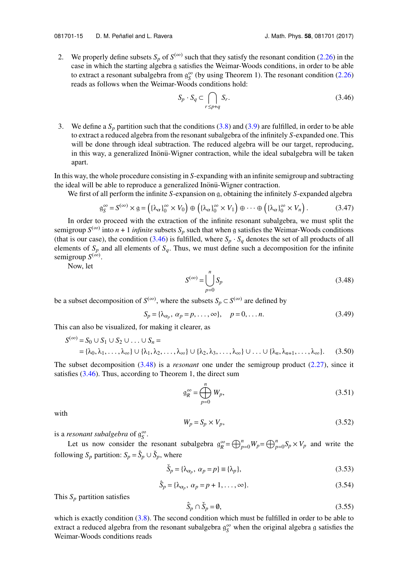2. We properly define subsets  $S_p$  of  $S^{(\infty)}$  such that they satisfy the resonant condition [\(2.26\)](#page-6-1) in the case in which the starting algebra g satisfies the Weimar-Woods conditions, in order to be able to extract a resonant subalgebra from  $g_S^{\infty}$  (by using Theorem 1). The resonant condition [\(2.26\)](#page-6-1) reads as follows when the Weimar-Woods conditions hold:

$$
S_p \cdot S_q \subset \bigcap_{r \le p+q} S_r. \tag{3.46}
$$

<span id="page-16-0"></span>3. We define a  $S_p$  partition such that the conditions [\(3.8\)](#page-10-0) and [\(3.9\)](#page-10-1) are fulfilled, in order to be able to extract a reduced algebra from the resonant subalgebra of the infinitely *S*-expanded one. This will be done through ideal subtraction. The reduced algebra will be our target, reproducing, in this way, a generalized Inonü-Wigner contraction, while the ideal subalgebra will be taken apart.

In this way, the whole procedure consisting in *S*-expanding with an infinite semigroup and subtracting the ideal will be able to reproduce a generalized Inönü-Wigner contraction.

We first of all perform the infinite *S*-expansion on g, obtaining the infinitely *S*-expanded algebra

$$
\mathfrak{g}_S^{\infty} = S^{(\infty)} \times \mathfrak{g} = \left( \{ \lambda_\alpha \}_{0}^{\infty} \times V_0 \right) \oplus \left( \{ \lambda_\alpha \}_{0}^{\infty} \times V_1 \right) \oplus \cdots \oplus \left( \{ \lambda_\alpha \}_{0}^{\infty} \times V_n \right). \tag{3.47}
$$

In order to proceed with the extraction of the infinite resonant subalgebra, we must split the semigroup  $S^{(\infty)}$  into  $n + 1$  *infinite* subsets  $S_p$  such that when g satisfies the Weimar-Woods conditions (that is our case), the condition [\(3.46\)](#page-16-0) is fulfilled, where  $S_p \cdot S_q$  denotes the set of all products of all elements of  $S_p$  and all elements of  $S_q$ . Thus, we must define such a decomposition for the infinite semigroup  $S^{(\infty)}$ .

<span id="page-16-1"></span>Now, let

$$
S^{(\infty)} = \bigcup_{p=0}^{n} S_p
$$
\n(3.48)

be a subset decomposition of  $S^{(\infty)}$ , where the subsets  $S_p \subset S^{(\infty)}$  are defined by

$$
S_p = \{\lambda_{\alpha_p}, \ \alpha_p = p, \dots, \infty\}, \quad p = 0, \dots n. \tag{3.49}
$$

This can also be visualized, for making it clearer, as

$$
S^{(\infty)} = S_0 \cup S_1 \cup S_2 \cup \ldots \cup S_n =
$$
  
= { $\lambda_0, \lambda_1, \ldots, \lambda_\infty$ } \cup { $\lambda_1, \lambda_2, \ldots, \lambda_\infty$ } \cup { $\lambda_2, \lambda_3, \ldots, \lambda_\infty$ } \cup \ldots \cup { $\lambda_n, \lambda_{n+1}, \ldots, \lambda_\infty$ }. (3.50)

The subset decomposition [\(3.48\)](#page-16-1) is a *resonant* one under the semigroup product [\(2.27\)](#page-6-3), since it satisfies  $(3.46)$ . Thus, according to Theorem 1, the direct sum

$$
\mathfrak{g}_R^{\infty} = \bigoplus_{p=0}^n W_p,\tag{3.51}
$$

with

$$
W_p = S_p \times V_p,\tag{3.52}
$$

is a *resonant subalgebra* of  $\mathfrak{g}^{\infty}_{S}$ .

Let us now consider the resonant subalgebra  $g_R^{\infty} = \bigoplus_{p=0}^n W_p = \bigoplus_{p=0}^n S_p \times V_p$  and write the following  $S_p$  partition:  $S_p = \hat{S}_p \cup \check{S}_p$ , where

$$
\check{S}_p = \{\lambda_{\alpha_p}, \ \alpha_p = p\} \equiv \{\lambda_p\},\tag{3.53}
$$

$$
\hat{S}_p = \{\lambda_{\alpha_p}, \ \alpha_p = p + 1, \dots, \infty\}.
$$
\n(3.54)

This  $S_p$  partition satisfies

<span id="page-16-2"></span>
$$
\hat{S}_p \cap \check{S}_p = \emptyset,\tag{3.55}
$$

which is exactly condition  $(3.8)$ . The second condition which must be fulfilled in order to be able to extract a reduced algebra from the resonant subalgebra  $g_S^{\infty}$  when the original algebra g satisfies the Weimar-Woods conditions reads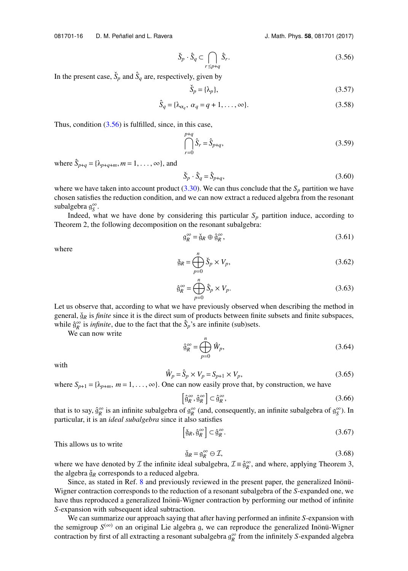$$
\check{S}_p \cdot \hat{S}_q \subset \bigcap_{r \le p+q} \hat{S}_r. \tag{3.56}
$$

In the present case,  $\check{S}_p$  and  $\hat{S}_q$  are, respectively, given by

$$
\check{S}_p = \{\lambda_p\},\tag{3.57}
$$

$$
\hat{S}_q = \{ \lambda_{\alpha_q}, \ \alpha_q = q + 1, \dots, \infty \}. \tag{3.58}
$$

Thus, condition  $(3.56)$  is fulfilled, since, in this case,

$$
\bigcap_{r=0}^{p+q} \hat{S}_r = \hat{S}_{p+q},\tag{3.59}
$$

where  $\hat{S}_{p+q} = {\lambda_{p+q+m}, m = 1, ..., \infty}$ , and

$$
\check{S}_p \cdot \hat{S}_q = \hat{S}_{p+q},\tag{3.60}
$$

where we have taken into account product [\(3.30\)](#page-13-1). We can thus conclude that the  $S_p$  partition we have chosen satisfies the reduction condition, and we can now extract a reduced algebra from the resonant subalgebra  $\mathfrak{g}^{\infty}_{S}$ .

Indeed, what we have done by considering this particular  $S_p$  partition induce, according to Theorem 2, the following decomposition on the resonant subalgebra:

$$
\mathfrak{g}_R^{\infty} = \check{\mathfrak{g}}_R \oplus \hat{\mathfrak{g}}_R^{\infty},\tag{3.61}
$$

where

$$
\check{g}_R = \bigoplus_{p=0}^n \check{S}_p \times V_p,\tag{3.62}
$$

$$
\hat{\mathfrak{g}}_R^{\infty} = \bigoplus_{p=0}^n \hat{S}_p \times V_p. \tag{3.63}
$$

Let us observe that, according to what we have previously observed when describing the method in general,  $\breve{g}_R$  is *finite* since it is the direct sum of products between finite subsets and finite subspaces, while  $\hat{\theta}_R^{\infty}$  is *infinite*, due to the fact that the  $\hat{S}_p$ 's are infinite (sub)sets.

We can now write

$$
\hat{\mathfrak{g}}_R^{\infty} = \bigoplus_{p=0}^n \hat{W}_p,\tag{3.64}
$$

with

$$
\hat{W}_p = \hat{S}_p \times V_p = S_{p+1} \times V_p,\tag{3.65}
$$

where  $S_{p+1} = \{\lambda_{p+m}, m = 1, \ldots, \infty\}$ . One can now easily prove that, by construction, we have

$$
\left[\hat{\mathfrak{g}}_R^{\infty}, \hat{\mathfrak{g}}_R^{\infty}\right] \subset \hat{\mathfrak{g}}_R^{\infty},\tag{3.66}
$$

that is to say,  $\hat{g}_R^{\infty}$  is an infinite subalgebra of  $g_R^{\infty}$  (and, consequently, an infinite subalgebra of  $g_S^{\infty}$ ). In particular, it is an *ideal subalgebra* since it also satisfies

$$
\left[\check{\mathfrak{g}}_R, \hat{\mathfrak{g}}_R^{\infty}\right] \subset \hat{\mathfrak{g}}_R^{\infty}.
$$
\n(3.67)

This allows us to write

$$
\check{g}_R = g_R^{\infty} \ominus \mathcal{I},\tag{3.68}
$$

where we have denoted by  $\mathcal I$  the infinite ideal subalgebra,  $\mathcal I \equiv \hat{\mathfrak{g}}_R^{\infty}$ , and where, applying Theorem 3, the algebra  $\check{g}_R$  corresponds to a reduced algebra.

Since, as stated in Ref. [8](#page-29-6) and previously reviewed in the present paper, the generalized Inönü-Wigner contraction corresponds to the reduction of a resonant subalgebra of the *S*-expanded one, we have thus reproduced a generalized Inönü-Wigner contraction by performing our method of infinite *S*-expansion with subsequent ideal subtraction.

We can summarize our approach saying that after having performed an infinite *S*-expansion with the semigroup  $S^{(\infty)}$  on an original Lie algebra g, we can reproduce the generalized Inönü-Wigner contraction by first of all extracting a resonant subalgebra  $\mathfrak{g}_R^{\infty}$  from the infinitely *S*-expanded algebra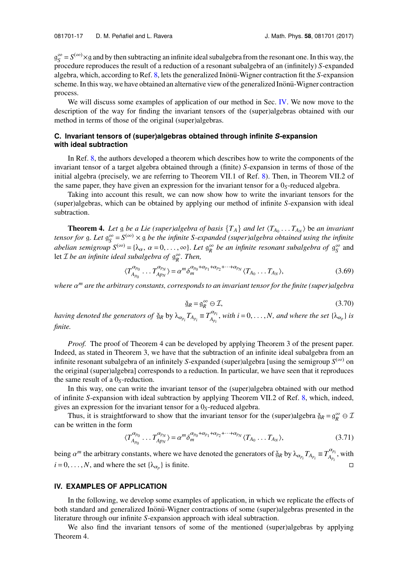$g_S^{\infty} = S^{(\infty)} \times g$  and by then subtracting an infinite ideal subalgebra from the resonant one. In this way, the procedure reproduces the result of a reduction of a resonant subalgebra of an (infinitely) *S*-expanded algebra, which, according to Ref. [8,](#page-29-6) lets the generalized Inönü-Wigner contraction fit the *S*-expansion scheme. In this way, we have obtained an alternative view of the generalized Inönü-Wigner contraction process.

We will discuss some examples of application of our method in Sec. [IV.](#page-18-0) We now move to the description of the way for finding the invariant tensors of the (super)algebras obtained with our method in terms of those of the original (super)algebras.

## **C. Invariant tensors of (super)algebras obtained through infinite** *S***-expansion with ideal subtraction**

In Ref. [8,](#page-29-6) the authors developed a theorem which describes how to write the components of the invariant tensor of a target algebra obtained through a (finite) *S*-expansion in terms of those of the initial algebra (precisely, we are referring to Theorem VII.1 of Ref. [8\)](#page-29-6). Then, in Theorem VII.2 of the same paper, they have given an expression for the invariant tensor for a  $0<sub>S</sub>$ -reduced algebra.

Taking into account this result, we can now show how to write the invariant tensors for the (super)algebras, which can be obtained by applying our method of infinite *S*-expansion with ideal subtraction.

**Theorem 4.** Let g be a Lie (super)algebra of basis  $\{T_A\}$  and let  $\langle T_{A_0} \dots T_{A_N} \rangle$  be an invariant or for a Let  $\alpha^{\infty} - S^{(\infty)} \times \alpha$  be the infinite S-expanded (super)algebra obtained using the infinite *tensor for* g. Let  $g_S^{\infty} = S^{(\infty)} \times g$  be the infinite S-expanded (super)algebra obtained using the infinite  $a$ belian semigroup  $S^{(\infty)} = {\lambda_{\alpha}, \alpha = 0, \ldots, \infty}$ . *Let*  $g_R^{\infty}$  *be an infinite resonant subalgebra of*  $g_S^{\infty}$  and let *T* be an infinite ideal subalgebra of  $g_S^{\infty}$ . let *I* be an infinite ideal subalgebra of  $\mathfrak{g}_R^{\infty}$ . Then,

$$
\langle T_{A_{p_0}}^{\alpha_{p_0}} \dots T_{A_{p_N}}^{\alpha_{p_N}} \rangle = \alpha^m \delta_m^{\alpha_{p_0} + \alpha_{p_1} + \alpha_{p_2} + \dots + \alpha_{p_N}} \langle T_{A_0} \dots T_{A_N} \rangle, \tag{3.69}
$$

*where* α *<sup>m</sup> are the arbitrary constants, corresponds to an invariant tensor for the finite (super)algebra*

<span id="page-18-1"></span>
$$
\check{g}_R = g_R^{\infty} \ominus \mathcal{I},\tag{3.70}
$$

*having denoted the generators of*  $\check{g}_R$  by  $\lambda_{\alpha_{p_i}} T_{A_{p_i}} \equiv T_{A_{p_i}}^{\alpha_{p_i}}$ , with  $i = 0, \ldots, N$ , and where the set  $\{\lambda_{\alpha_p}\}$  is *finite.*

*Proof.* The proof of Theorem 4 can be developed by applying Theorem 3 of the present paper. Indeed, as stated in Theorem 3, we have that the subtraction of an infinite ideal subalgebra from an infinite resonant subalgebra of an infinitely *S*-expanded (super)algebra [using the semigroup  $S^{(\infty)}$  on the original (super)algebra] corresponds to a reduction. In particular, we have seen that it reproduces the same result of a 0*S*-reduction.

In this way, one can write the invariant tensor of the (super)algebra obtained with our method of infinite *S*-expansion with ideal subtraction by applying Theorem VII.2 of Ref. [8,](#page-29-6) which, indeed, gives an expression for the invariant tensor for a 0*S*-reduced algebra.

Thus, it is straightforward to show that the invariant tensor for the (super)algebra  $\check{g}_R = g_R^{\infty} \ominus \mathcal{I}$ can be written in the form

$$
\langle T_{A_{p_0}}^{\alpha_{p_0}} \dots T_{A_{p_N}}^{\alpha_{p_N}} \rangle = \alpha^m \delta_m^{\alpha_{p_0} + \alpha_{p_1} + \alpha_{p_2} + \dots + \alpha_{p_N}} \langle T_{A_0} \dots T_{A_N} \rangle, \tag{3.71}
$$

being  $\alpha^m$  the arbitrary constants, where we have denoted the generators of  $\check{g}_R$  by  $\lambda_{\alpha_{p_i}} T_{A_{p_i}} \equiv T_{A_{p_i}}^{\alpha_{p_i}}$ , with  $i = 0, \ldots, N$ , and where the set  $\{\lambda_{\alpha_p}\}\$ is finite.  $\}$  is finite.

## <span id="page-18-0"></span>**IV. EXAMPLES OF APPLICATION**

In the following, we develop some examples of application, in which we replicate the effects of both standard and generalized Inonü-Wigner contractions of some (super)algebras presented in the literature through our infinite *S*-expansion approach with ideal subtraction.

We also find the invariant tensors of some of the mentioned (super)algebras by applying Theorem 4.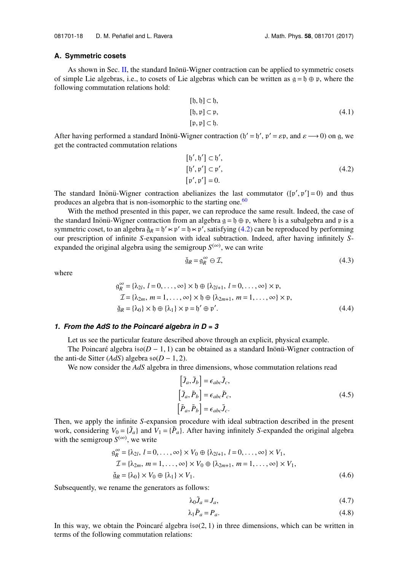#### **A. Symmetric cosets**

As shown in Sec. [II,](#page-4-0) the standard Inönü-Wigner contraction can be applied to symmetric cosets of simple Lie algebras, i.e., to cosets of Lie algebras which can be written as  $g = f_0 \oplus p$ , where the following commutation relations hold:

$$
[1, b] \subset b,
$$
  
\n
$$
[1, p] \subset p,
$$
  
\n
$$
[1, p] \subset b.
$$
  
\n(4.1)

After having performed a standard Inönü-Wigner contraction  $(b' = b', p' = \varepsilon p)$ , and  $\varepsilon \longrightarrow 0$ ) on g, we get the contracted commutation relations get the contracted commutation relations

<span id="page-19-0"></span>
$$
[b', b'] \subset b',
$$
  

$$
[b', \mathfrak{p}'] \subset \mathfrak{p}',
$$
  

$$
[\mathfrak{p}', \mathfrak{p}'] = 0.
$$
  
(4.2)

The standard Inönü-Wigner contraction abelianizes the last commutator  $([p', p'] = 0)$  and thus produces an algebra that is non-isomorphic to the starting one.<sup>[60](#page-31-3)</sup>

With the method presented in this paper, we can reproduce the same result. Indeed, the case of the standard Inönü-Wigner contraction from an algebra  $g = \mathfrak{h} \oplus \mathfrak{p}$ , where  $\mathfrak{h}$  is a subalgebra and p is a symmetric coset, to an algebra  $\check{g}_R = \check{b}' \times \check{p}' = \check{b} \times \check{p}'$ , satisfying [\(4.2\)](#page-19-0) can be reproduced by performing our prescription of infinite *S*-expansion with ideal subtraction. Indeed, after having infinitely *S*expanded the original algebra using the semigroup  $S^{(\infty)}$ , we can write

$$
\check{g}_R = g_R^{\infty} \ominus \mathcal{I},\tag{4.3}
$$

where

$$
g_R^{\infty} = {\lambda_{2l}, l = 0, ..., \infty} \times \mathfrak{h} \oplus {\lambda_{2l+1}, l = 0, ..., \infty} \times \mathfrak{p},
$$
  
\n
$$
\mathcal{I} = {\lambda_{2m}, m = 1, ..., \infty} \times \mathfrak{h} \oplus {\lambda_{2m+1}, m = 1, ..., \infty} \times \mathfrak{p},
$$
  
\n
$$
\check{g}_R = {\lambda_0} \times \mathfrak{h} \oplus {\lambda_1} \times \mathfrak{p} = \mathfrak{h}' \oplus \mathfrak{p}'. \qquad (4.4)
$$

#### *1. From the AdS to the Poincare algebra in D = 3 ´*

Let us see the particular feature described above through an explicit, physical example.

The Poincaré algebra  $iso(D - 1, 1)$  can be obtained as a standard Inonü-Wigner contraction of the anti-de Sitter ( $AdS$ ) algebra  $\mathfrak{so}(D-1, 2)$ .

We now consider the *AdS* algebra in three dimensions, whose commutation relations read

$$
\begin{aligned}\n\left[\tilde{J}_a, \tilde{J}_b\right] &= \epsilon_{abc} \tilde{J}_c, \\
\left[\tilde{J}_a, \tilde{P}_b\right] &= \epsilon_{abc} \tilde{P}_c, \\
\left[\tilde{P}_a, \tilde{P}_b\right] &= \epsilon_{abc} \tilde{J}_c.\n\end{aligned}
$$
\n(4.5)

Then, we apply the infinite *S*-expansion procedure with ideal subtraction described in the present work, considering  $V_0 = \{ \tilde{J}_a \}$  and  $V_1 = \{ \tilde{P}_a \}$ . After having infinitely *S*-expanded the original algebra with the semigroup  $S^{(\infty)}$ , we write

$$
g_R^{\infty} = {\lambda_{2l}, l = 0, ..., \infty} \times V_0 \oplus {\lambda_{2l+1}, l = 0, ..., \infty} \times V_1,
$$
  
\n
$$
\mathcal{I} = {\lambda_{2m}, m = 1, ..., \infty} \times V_0 \oplus {\lambda_{2m+1}, m = 1, ..., \infty} \times V_1,
$$
  
\n
$$
\check{g}_R = {\lambda_0} \times V_0 \oplus {\lambda_1} \times V_1.
$$
\n(4.6)

Subsequently, we rename the generators as follows:

$$
\lambda_0 \tilde{J}_a = J_a,\tag{4.7}
$$

$$
\lambda_1 \tilde{P}_a = P_a. \tag{4.8}
$$

In this way, we obtain the Poincaré algebra  $iso(2, 1)$  in three dimensions, which can be written in terms of the following commutation relations: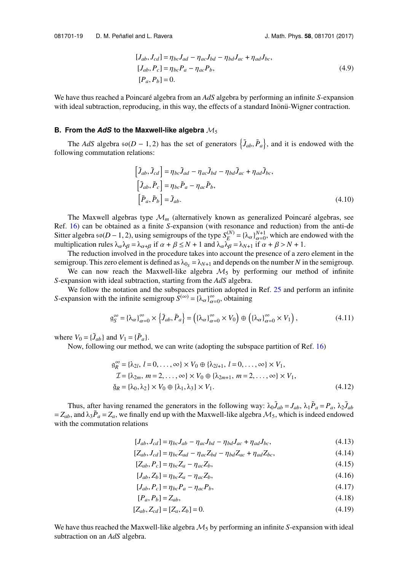$$
[J_{ab}, J_{cd}] = \eta_{bc}J_{ad} - \eta_{ac}J_{bd} - \eta_{bd}J_{ac} + \eta_{ad}J_{bc},
$$
  
\n
$$
[J_{ab}, P_c] = \eta_{bc}P_a - \eta_{ac}P_b,
$$
  
\n
$$
[P_a, P_b] = 0.
$$
\n(4.9)

We have thus reached a Poincaré algebra from an *AdS* algebra by performing an infinite *S*-expansion with ideal subtraction, reproducing, in this way, the effects of a standard Inonü-Wigner contraction.

#### **B. From the** *AdS* **to the Maxwell-like algebra** M<sup>5</sup>

The *AdS* algebra  $\mathfrak{so}(D-1, 2)$  has the set of generators  $\{\tilde{J}_{ab}, \tilde{P}_a\}$ , and it is endowed with the following commutation relations:

$$
\begin{aligned}\n\left[\tilde{J}_{ab}, \tilde{J}_{cd}\right] &= \eta_{bc} \tilde{J}_{ad} - \eta_{ac} \tilde{J}_{bd} - \eta_{bd} \tilde{J}_{ac} + \eta_{ad} \tilde{J}_{bc}, \\
\left[\tilde{J}_{ab}, \tilde{P}_c\right] &= \eta_{bc} \tilde{P}_a - \eta_{ac} \tilde{P}_b, \\
\left[\tilde{P}_a, \tilde{P}_b\right] &= \tilde{J}_{ab}.\n\end{aligned} \tag{4.10}
$$

)

The Maxwell algebras type  $\mathcal{M}_m$  (alternatively known as generalized Poincaré algebras, see Ref. [16\)](#page-30-10) can be obtained as a finite *S*-expansion (with resonance and reduction) from the anti-de Sitter algebra  $\mathfrak{so}(D-1, 2)$ , using semigroups of the type  $S_F^{(N)}$  $E_E^{(N)} = {\lambda_\alpha} \frac{\partial^{N+1}}{\partial z(0)}$ , which are endowed with the multiplication rules  $\lambda_{\alpha} \lambda_{\beta} = \lambda_{\alpha+\beta}$  if  $\alpha + \beta \le N + 1$  and  $\lambda_{\alpha} \lambda_{\beta} = \lambda_{N+1}$  if  $\alpha + \beta > N + 1$ .<br>The reduction involved in the procedure takes into account the presence of a zero

The reduction involved in the procedure takes into account the presence of a zero element in the semigroup. This zero element is defined as  $\lambda_{0s} = \lambda_{N+1}$  and depends on the number *N* in the semigroup.

We can now reach the Maxwell-like algebra  $M_5$  by performing our method of infinite *S*-expansion with ideal subtraction, starting from the *AdS* algebra.

We follow the notation and the subspaces partition adopted in Ref. [25](#page-30-11) and perform an infinite *S*-expansion with the infinite semigroup  $\hat{S}^{(\infty)} = \{\lambda_{\alpha}\}_{\alpha=0}^{\infty}$ , obtaining

$$
\mathfrak{g}_S^{\infty} = {\lambda_\alpha \}_{\alpha=0}^{\infty} \times \left\{ \tilde{J}_{ab}, \tilde{P}_a \right\} = \left( {\lambda_\alpha \}_{\alpha=0}^{\infty} \times V_0 \right) \oplus \left( {\lambda_\alpha \}_{\alpha=0}^{\infty} \times V_1 \right), \tag{4.11}
$$

where  $V_0 = {\tilde{J}_{ab}}$  and  $V_1 = {\tilde{P}_a}$ .

Now, following our method, we can write (adopting the subspace partition of Ref. [16\)](#page-30-10)

$$
g_R^{\infty} = {\lambda_{2l}, l = 0, ..., \infty} \times V_0 \oplus {\lambda_{2l+1}, l = 0, ..., \infty} \times V_1,
$$
  
\n
$$
\mathcal{I} = {\lambda_{2m}, m = 2, ..., \infty} \times V_0 \oplus {\lambda_{2m+1}, m = 2, ..., \infty} \times V_1,
$$
  
\n
$$
\check{g}_R = {\lambda_0, \lambda_2} \times V_0 \oplus {\lambda_1, \lambda_3} \times V_1.
$$
\n(4.12)

Thus, after having renamed the generators in the following way:  $\lambda_0 \tilde{J}_{ab} = J_{ab}$ ,  $\lambda_1 \tilde{P}_a = P_a$ ,  $\lambda_2 \tilde{J}_{ab}$  $= Z_{ab}$ , and  $\lambda_3 \tilde{P}_a = Z_a$ , we finally end up with the Maxwell-like algebra  $\mathcal{M}_5$ , which is indeed endowed with the commutation relations

$$
[J_{ab}, J_{cd}] = \eta_{bc}J_{ab} - \eta_{ac}J_{bd} - \eta_{bd}J_{ac} + \eta_{ad}J_{bc},
$$
\n(4.13)

$$
[Z_{ab}, J_{cd}] = \eta_{bc} Z_{ad} - \eta_{ac} Z_{bd} - \eta_{bd} Z_{ac} + \eta_{ad} Z_{bc},
$$
\n(4.14)

$$
[Z_{ab}, P_c] = \eta_{bc} Z_a - \eta_{ac} Z_b,\tag{4.15}
$$

$$
[J_{ab}, Z_b] = \eta_{bc} Z_a - \eta_{ac} Z_b,
$$
\n
$$
(4.16)
$$

$$
[J_{ab}, P_c] = \eta_{bc} P_a - \eta_{ac} P_b,\tag{4.17}
$$

$$
[P_a, P_b] = Z_{ab},\tag{4.18}
$$

$$
[Z_{ab}, Z_{cd}] = [Z_a, Z_b] = 0.
$$
\n(4.19)

We have thus reached the Maxwell-like algebra  $M_5$  by performing an infinite *S*-expansion with ideal subtraction on an *AdS* algebra.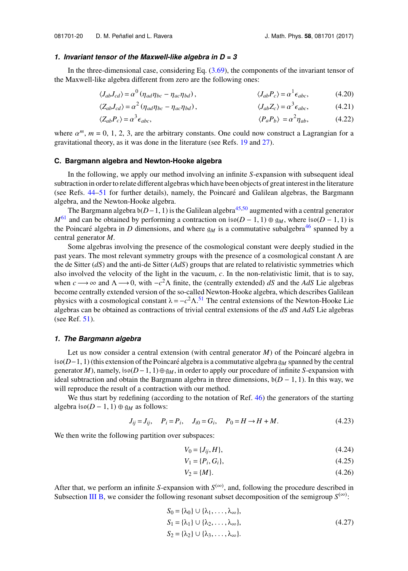#### *1. Invariant tensor of the Maxwell-like algebra in D = 3*

In the three-dimensional case, considering Eq. [\(3.69\)](#page-18-1), the components of the invariant tensor of the Maxwell-like algebra different from zero are the following ones:

$$
\langle J_{ab}J_{cd}\rangle = \alpha^0 \left(\eta_{ad}\eta_{bc} - \eta_{ac}\eta_{bd}\right), \qquad \langle J_{ab}P_c\rangle = \alpha^1 \epsilon_{abc}, \qquad (4.20)
$$

$$
\langle Z_{ab}J_{cd}\rangle = \alpha^2 \left(\eta_{ad}\eta_{bc} - \eta_{ac}\eta_{bd}\right), \qquad \langle J_{ab}Z_c\rangle = \alpha^3 \epsilon_{abc}, \qquad (4.21)
$$

$$
\langle Z_{ab} P_c \rangle = \alpha^3 \epsilon_{abc}, \qquad \langle P_a P_b \rangle = \alpha^2 \eta_{ab}, \qquad (4.22)
$$

where  $\alpha^m$ ,  $m = 0, 1, 2, 3$ , are the arbitrary constants. One could now construct a Lagrangian for a gravitational theory as it was done in the literature (see Refs. 19 and 27) gravitational theory, as it was done in the literature (see Refs. [19](#page-30-12) and [27\)](#page-30-13).

#### **C. Bargmann algebra and Newton-Hooke algebra**

In the following, we apply our method involving an infinite *S*-expansion with subsequent ideal subtraction in order to relate different algebras which have been objects of great interest in the literature (see Refs. [44](#page-30-14)[–51](#page-31-4) for further details), namely, the Poincaré and Galilean algebras, the Bargmann algebra, and the Newton-Hooke algebra.

The Bargmann algebra b(*D*−1, 1) is the Galilean algebra<sup>[45](#page-31-5)[,50](#page-31-6)</sup> augmented with a central generator *M*<sup>[61](#page-31-7)</sup> and can be obtained by performing a contraction on iso(*D* − 1, 1) ⊕  $g_M$ , where iso(*D* − 1, 1) is the Poincaré algebra in *D* dimensions, and where  $g_M$  is a commutative subalgebra<sup>[46](#page-31-8)</sup> spanned by a central generator *M*.

Some algebras involving the presence of the cosmological constant were deeply studied in the past years. The most relevant symmetry groups with the presence of a cosmological constant  $\Lambda$  are the de Sitter (*dS*) and the anti-de Sitter (*AdS*) groups that are related to relativistic symmetries which also involved the velocity of the light in the vacuum, *c*. In the non-relativistic limit, that is to say, when *c* → ∞ and  $Λ$  → 0, with  $-c<sup>2</sup>Λ$  finite, the (centrally extended) *dS* and the *AdS* Lie algebras become centrally extended version of the so-called Newton-Hooke algebra, which describes Galilean physics with a cosmological constant  $\lambda = -c^2 \Lambda$ .<sup>[51](#page-31-4)</sup> The central extensions of the Newton-Hooke Lie algebras can be obtained as contractions of trivial central extensions of the *dS* and *AdS* Lie algebras (see Ref. [51\)](#page-31-4).

#### *1. The Bargmann algebra*

Let us now consider a central extension (with central generator  $M$ ) of the Poincaré algebra in iso(*D*−1, 1) (this extension of the Poincaré algebra is a commutative algebra  $\mathfrak{g}_M$  spanned by the central generator *M*), namely, iso(*D*−1, 1)⊕g*M*, in order to apply our procedure of infinite *S*-expansion with ideal subtraction and obtain the Bargmann algebra in three dimensions,  $b(D-1, 1)$ . In this way, we will reproduce the result of a contraction with our method.

We thus start by redefining (according to the notation of Ref. [46\)](#page-31-8) the generators of the starting algebra iso( $D - 1$ , 1) ⊕ g<sub>*M*</sub> as follows:

$$
J_{ij} = J_{ij}, \quad P_i = P_i, \quad J_{i0} = G_i, \quad P_0 = H \to H + M. \tag{4.23}
$$

We then write the following partition over subspaces:

$$
V_0 = \{J_{ij}, H\},\tag{4.24}
$$

$$
V_1 = \{P_i, G_i\},\tag{4.25}
$$

$$
V_2 = \{M\}.\tag{4.26}
$$

After that, we perform an infinite *S*-expansion with  $S^{(\infty)}$ , and, following the procedure described in Subsection [III B,](#page-12-1) we consider the following resonant subset decomposition of the semigroup  $S^{(\infty)}$ :

$$
S_0 = {\lambda_0} \cup {\lambda_1, ..., \lambda_{\infty}},
$$
  
\n
$$
S_1 = {\lambda_1} \cup {\lambda_2, ..., \lambda_{\infty}},
$$
  
\n
$$
S_2 = {\lambda_2} \cup {\lambda_3, ..., \lambda_{\infty}}.
$$
  
\n(4.27)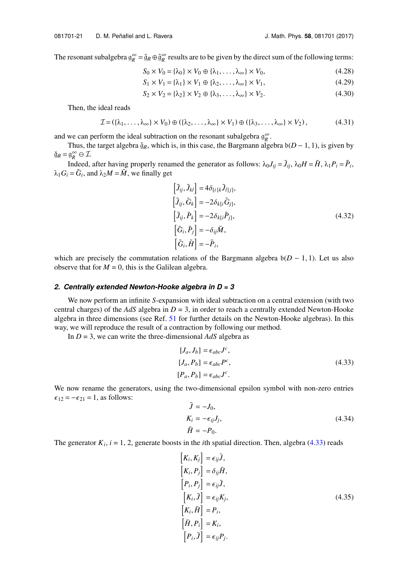The resonant subalgebra  $g_R^{\infty} = \check{g}_R \oplus \hat{g}_R^{\infty}$  results are to be given by the direct sum of the following terms:

$$
S_0 \times V_0 = \{\lambda_0\} \times V_0 \oplus \{\lambda_1, \dots, \lambda_\infty\} \times V_0, \tag{4.28}
$$

$$
S_1 \times V_1 = \{\lambda_1\} \times V_1 \oplus \{\lambda_2, \dots, \lambda_\infty\} \times V_1,
$$
(4.29)

$$
S_2 \times V_2 = \{\lambda_2\} \times V_2 \oplus \{\lambda_3, \dots, \lambda_\infty\} \times V_2. \tag{4.30}
$$

Then, the ideal reads

$$
\mathcal{I} = (\{\lambda_1, \ldots, \lambda_\infty\} \times V_0) \oplus (\{\lambda_2, \ldots, \lambda_\infty\} \times V_1) \oplus (\{\lambda_3, \ldots, \lambda_\infty\} \times V_2),
$$
(4.31)

and we can perform the ideal subtraction on the resonant subalgebra  $g_R^{\infty}$ .

Thus, the target algebra  $\check{g}_R$ , which is, in this case, the Bargmann algebra  $b(D - 1, 1)$ , is given by  $\check{g}_R = g_R^\infty \ominus \mathcal{I}.$ 

Indeed, after having properly renamed the generator as follows:  $\lambda_0 J_{ij} = \tilde{J}_{ij}$ ,  $\lambda_0 H = \tilde{H}$ ,  $\lambda_1 P_i = \tilde{P}_i$ ,  $\lambda_1 G_i = \tilde{G}_i$ , and  $\lambda_2 M = \tilde{M}$ , we finally get f

$$
\begin{aligned}\n\left[\tilde{J}_{ij}, \tilde{J}_{kl}\right] &= 4\delta_{\{i\}k}\tilde{J}_{l|j]},\\ \n\left[\tilde{J}_{ij}, \tilde{G}_k\right] &= -2\delta_{kl}i\tilde{G}_{j]},\\ \n\left[\tilde{J}_{ij}, \tilde{P}_k\right] &= -2\delta_{kl}i\tilde{P}_{j]},\\ \n\left[\tilde{G}_i, \tilde{P}_j\right] &= -\delta_{ij}\tilde{M},\\ \n\left[\tilde{G}_i, \tilde{H}\right] &= -\tilde{P}_i,\n\end{aligned}
$$
\n(4.32)

which are precisely the commutation relations of the Bargmann algebra  $b(D - 1, 1)$ . Let us also observe that for  $M = 0$ , this is the Galilean algebra.

#### *2. Centrally extended Newton-Hooke algebra in D = 3*

We now perform an infinite *S*-expansion with ideal subtraction on a central extension (with two central charges) of the *AdS* algebra in *D* = 3, in order to reach a centrally extended Newton-Hooke algebra in three dimensions (see Ref. [51](#page-31-4) for further details on the Newton-Hooke algebras). In this way, we will reproduce the result of a contraction by following our method.

In *D* = 3, we can write the three-dimensional *AdS* algebra as

<span id="page-22-0"></span>
$$
[J_a, J_b] = \epsilon_{abc} J^c,
$$
  
\n
$$
[J_a, P_b] = \epsilon_{abc} P^c,
$$
  
\n
$$
[P_a, P_b] = \epsilon_{abc} J^c.
$$
\n(4.33)

We now rename the generators, using the two-dimensional epsilon symbol with non-zero entries  $\epsilon_{12} = -\epsilon_{21} = 1$ , as follows:

$$
\overline{J} = -J_0,
$$
  
\n
$$
K_i = -\epsilon_{ij}J_j,
$$
  
\n
$$
\overline{H} = -P_0.
$$
\n(4.34)

The generator  $K_i$ ,  $i = 1, 2$ , generate boosts in the *i*th spatial direction. Then, algebra [\(4.33\)](#page-22-0) reads g

f

$$
\begin{aligned}\n\left[K_i, K_j\right] &= \epsilon_{ij} \bar{J}, \\
\left[K_i, P_j\right] &= \delta_{ij} \bar{H}, \\
\left[P_i, P_j\right] &= \epsilon_{ij} \bar{J}, \\
\left[K_i, \bar{J}\right] &= \epsilon_{ij} K_j, \\
\left[K_i, \bar{H}\right] &= P_i, \\
\left[\bar{H}, P_i\right] &= K_i, \\
\left[P_i, \bar{J}\right] &= \epsilon_{ij} P_j.\n\end{aligned} \tag{4.35}
$$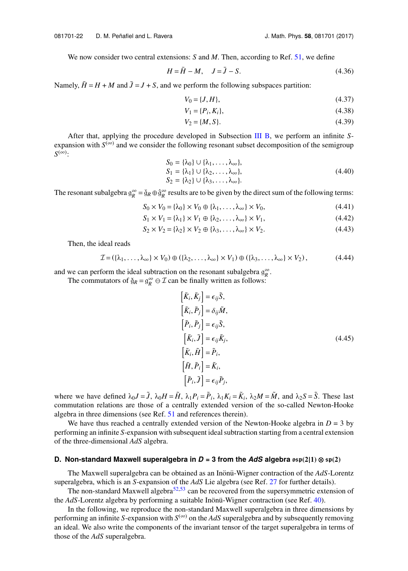We now consider two central extensions: *S* and *M*. Then, according to Ref. [51,](#page-31-4) we define

$$
H = \overline{H} - M, \quad J = \overline{J} - S. \tag{4.36}
$$

Namely,  $\bar{H} = H + M$  and  $\bar{J} = J + S$ , and we perform the following subspaces partition:

$$
V_0 = \{J, H\},\tag{4.37}
$$

$$
V_1 = \{P_i, K_i\},\tag{4.38}
$$

$$
V_2 = \{M, S\}.\tag{4.39}
$$

After that, applying the procedure developed in Subsection [III B,](#page-12-1) we perform an infinite *S*expansion with  $S^{(\infty)}$  and we consider the following resonant subset decomposition of the semigroup *S*<sup>(∞)</sup>:

$$
S_0 = {\lambda_0} \cup {\lambda_1, \ldots, \lambda_\infty},
$$
  
\n
$$
S_1 = {\lambda_1} \cup {\lambda_2, \ldots, \lambda_\infty},
$$
  
\n
$$
S_2 = {\lambda_2} \cup {\lambda_3, \ldots, \lambda_\infty}.
$$
  
\n(4.40)

The resonant subalgebra  $g_R^{\infty} = \check{g}_R \oplus \hat{g}_R^{\infty}$  results are to be given by the direct sum of the following terms:

$$
S_0 \times V_0 = \{\lambda_0\} \times V_0 \oplus \{\lambda_1, \dots, \lambda_\infty\} \times V_0,
$$
\n(4.41)

$$
S_1 \times V_1 = \{\lambda_1\} \times V_1 \oplus \{\lambda_2, \dots, \lambda_\infty\} \times V_1,
$$
\n(4.42)

$$
S_2 \times V_2 = \{\lambda_2\} \times V_2 \oplus \{\lambda_3, \dots, \lambda_\infty\} \times V_2. \tag{4.43}
$$

Then, the ideal reads

$$
\mathcal{I} = (\{\lambda_1, \ldots, \lambda_\infty\} \times V_0) \oplus (\{\lambda_2, \ldots, \lambda_\infty\} \times V_1) \oplus (\{\lambda_3, \ldots, \lambda_\infty\} \times V_2),
$$
(4.44)

and we can perform the ideal subtraction on the resonant subalgebra  $g_R^{\infty}$ .

The commutators of  $\check{g}_R = g_R^{\infty} \ominus \mathcal{I}$  can be finally written as follows:

$$
\begin{aligned}\n\left[\tilde{K}_i, \tilde{K}_j\right] &= \epsilon_{ij} \tilde{S}, \\
\left[\tilde{K}_i, \tilde{P}_j\right] &= \delta_{ij} \tilde{M}, \\
\left[\tilde{P}_i, \tilde{P}_j\right] &= \epsilon_{ij} \tilde{S}, \\
\left[\tilde{K}_i, \tilde{J}\right] &= \epsilon_{ij} \tilde{K}_j, \\
\left[\tilde{K}_i, \tilde{H}\right] &= \tilde{P}_i, \\
\left[\tilde{H}, \tilde{P}_i\right] &= \tilde{K}_i, \\
\left[\tilde{P}_i, \tilde{J}\right] &= \epsilon_{ij} \tilde{P}_j,\n\end{aligned} \tag{4.45}
$$

where we have defined  $\lambda_0 J = \tilde{J}$ ,  $\lambda_0 H = \tilde{H}$ ,  $\lambda_1 P_i = \tilde{P}_i$ ,  $\lambda_1 K_i = \tilde{K}_i$ ,  $\lambda_2 M = \tilde{M}$ , and  $\lambda_2 S = \tilde{S}$ . These last commutation relations are those of a centrally extended version of the so-called Newton-Hooke algebra in three dimensions (see Ref. [51](#page-31-4) and references therein).

We have thus reached a centrally extended version of the Newton-Hooke algebra in  $D = 3$  by performing an infinite *S*-expansion with subsequent ideal subtraction starting from a central extension of the three-dimensional *AdS* algebra.

#### **D. Non-standard Maxwell superalgebra in** *D* **= 3 from the** *AdS* **algebra** osp**(2**|**1)** ⊗ sp**(2)**

The Maxwell superalgebra can be obtained as an Inönü-Wigner contraction of the AdS-Lorentz superalgebra, which is an *S*-expansion of the *AdS* Lie algebra (see Ref. [27](#page-30-13) for further details).

The non-standard Maxwell algebra<sup>[52,](#page-31-9)[53](#page-31-10)</sup> can be recovered from the supersymmetric extension of the *AdS*-Lorentz algebra by performing a suitable Inönü-Wigner contraction (see Ref. [40\)](#page-30-5).

In the following, we reproduce the non-standard Maxwell superalgebra in three dimensions by performing an infinite *S*-expansion with  $S^{(\infty)}$  on the AdS superalgebra and by subsequently removing an ideal. We also write the components of the invariant tensor of the target superalgebra in terms of those of the *AdS* superalgebra.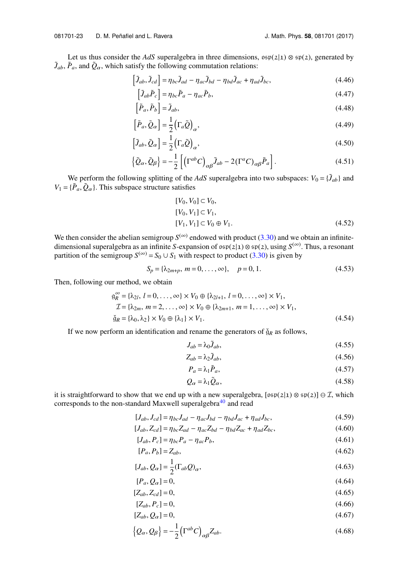Let us thus consider the *AdS* superalgebra in three dimensions,  $\cos(2|1) \otimes \sin(2)$ , generated by  $\tilde{J}_{ab}$ ,  $\tilde{P}_a$ , and  $\tilde{Q}_\alpha$ , which satisfy the following commutation relations:<br> $\left[\tilde{J}_{ab}, \tilde{J}_{cd}\right] = \eta_{bc} \tilde{J}_{ad} - \eta_{ac} \tilde{J}_{bd} - \eta_{bd} \tilde{J}_{ac} + \eta_{ac}$ 

$$
\left[\tilde{J}_{ab}, \tilde{J}_{cd}\right] = \eta_{bc}\tilde{J}_{ad} - \eta_{ac}\tilde{J}_{bd} - \eta_{bd}\tilde{J}_{ac} + \eta_{ad}\tilde{J}_{bc},\tag{4.46}
$$

$$
\left[\tilde{J}_{ab}\tilde{P}_c\right] = \eta_{bc}\tilde{P}_a - \eta_{ac}\tilde{P}_b,\tag{4.47}
$$

$$
\left[\tilde{P}_a, \tilde{P}_b\right] = \tilde{J}_{ab},\tag{4.48}
$$

$$
\left[\tilde{P}_a, \tilde{Q}_\alpha\right] = \frac{1}{2} \left(\Gamma_a \tilde{Q}\right)_\alpha, \tag{4.49}
$$

$$
\left[\tilde{J}_{ab}, \tilde{Q}_{\alpha}\right] = \frac{1}{2} \left(\Gamma_a \tilde{Q}\right)_{\alpha},\tag{4.50}
$$

$$
\left\{\tilde{Q}_{\alpha}, \tilde{Q}_{\beta}\right\} = -\frac{1}{2} \left[ \left(\Gamma^{ab} C\right)_{\alpha\beta} \tilde{J}_{ab} - 2\left(\Gamma^{a} C\right)_{\alpha\beta} \tilde{P}_{a} \right].
$$
\n(4.51)

We perform the following splitting of the *AdS* superalgebra into two subspaces:  $V_0 = {\tilde{J}_{ab}}$  and  $V_1 = {\tilde{P}_a, \tilde{Q}_\alpha}$ . This subspace structure satisfies

$$
[V_0, V_0] \subset V_0,
$$
  
\n
$$
[V_0, V_1] \subset V_1,
$$
  
\n
$$
[V_1, V_1] \subset V_0 \oplus V_1.
$$
\n(4.52)

We then consider the abelian semigroup  $S^{(\infty)}$  endowed with product [\(3.30\)](#page-13-1) and we obtain an infinitedimensional superalgebra as an infinite *S*-expansion of osp(2|1) ⊗sp(2), using *S* (∞) . Thus, a resonant partition of the semigroup  $S^{(\infty)} = S_0 \cup S_1$  with respect to product [\(3.30\)](#page-13-1) is given by

$$
S_p = \{\lambda_{2m+p}, \ m = 0, \dots, \infty\}, \quad p = 0, 1. \tag{4.53}
$$

Then, following our method, we obtain

$$
g_R^{\infty} = {\lambda_{2l}, l = 0, ..., \infty} \times V_0 \oplus {\lambda_{2l+1}, l = 0, ..., \infty} \times V_1,
$$
  
\n
$$
\mathcal{I} = {\lambda_{2m}, m = 2, ..., \infty} \times V_0 \oplus {\lambda_{2m+1}, m = 1, ..., \infty} \times V_1,
$$
  
\n
$$
\check{g}_R = {\lambda_0, \lambda_2} \times V_0 \oplus {\lambda_1} \times V_1.
$$
\n(4.54)

If we now perform an identification and rename the generators of  $\check{g}_R$  as follows,

$$
J_{ab} = \lambda_0 \tilde{J}_{ab},\tag{4.55}
$$

$$
Z_{ab} = \lambda_2 \tilde{J}_{ab},\tag{4.56}
$$

$$
P_a = \lambda_1 \tilde{P}_a,\tag{4.57}
$$

$$
Q_{\alpha} = \lambda_1 \tilde{Q}_{\alpha},\tag{4.58}
$$

it is straightforward to show that we end up with a new superalgebra,  $[s\mathfrak{s}\mathfrak{p}(2|1) \otimes \mathfrak{s}\mathfrak{p}(2)] \ominus \mathcal{I}$ , which corresponds to the non-standard Maxwell superalgebra<sup>[40](#page-30-5)</sup> and read

$$
[J_{ab}, J_{cd}] = \eta_{bc} J_{ad} - \eta_{ac} J_{bd} - \eta_{bd} J_{ac} + \eta_{ad} J_{bc},
$$
\n(4.59)

$$
[J_{ab}, Z_{cd}] = \eta_{bc} Z_{ad} - \eta_{ac} Z_{bd} - \eta_{bd} Z_{ac} + \eta_{ad} Z_{bc},
$$
\n(4.60)

$$
[J_{ab}, P_c] = \eta_{bc} P_a - \eta_{ac} P_b,\tag{4.61}
$$

$$
[P_a, P_b] = Z_{ab},\tag{4.62}
$$

$$
[J_{ab}, Q_{\alpha}] = \frac{1}{2} (\Gamma_{ab} Q)_{\alpha}, \qquad (4.63)
$$

$$
[P_a, Q_\alpha] = 0,\tag{4.64}
$$

$$
[Z_{ab}, Z_{cd}] = 0,\t\t(4.65)
$$

$$
[Z_{ab}, P_c] = 0,\t\t(4.66)
$$

$$
[Z_{ab}, Q_{\alpha}] = 0,\tag{4.67}
$$

$$
\left\{Q_{\alpha}, Q_{\beta}\right\} = -\frac{1}{2} \left(\Gamma^{ab} C\right)_{\alpha\beta} Z_{ab}.
$$
\n(4.68)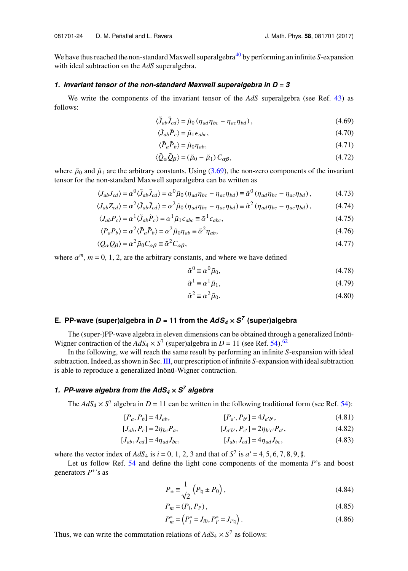We have thus reached the non-standard Maxwell superalgebra<sup>[40](#page-30-5)</sup> by performing an infinite *S*-expansion with ideal subtraction on the *AdS* superalgebra.

## *1. Invariant tensor of the non-standard Maxwell superalgebra in D = 3*

We write the components of the invariant tensor of the *AdS* superalgebra (see Ref. [43\)](#page-30-15) as follows:

$$
\langle \tilde{J}_{ab}\tilde{J}_{cd}\rangle = \tilde{\mu}_0 \left(\eta_{ad}\eta_{bc} - \eta_{ac}\eta_{bd}\right),\tag{4.69}
$$

$$
\langle \tilde{J}_{ab} \tilde{P}_c \rangle = \tilde{\mu}_1 \epsilon_{abc},\tag{4.70}
$$

$$
\langle \tilde{P}_a \tilde{P}_b \rangle = \tilde{\mu}_0 \eta_{ab},\tag{4.71}
$$

$$
\langle \tilde{Q}_{\alpha} \tilde{Q}_{\beta} \rangle = (\tilde{\mu}_0 - \tilde{\mu}_1) C_{\alpha\beta}, \qquad (4.72)
$$

where  $\tilde{\mu}_0$  and  $\tilde{\mu}_1$  are the arbitrary constants. Using [\(3.69\)](#page-18-1), the non-zero components of the invariant tensor for the non-standard Maxwell superalgebra can be written as

$$
\langle J_{ab}J_{cd}\rangle = \alpha^0 \langle \tilde{J}_{ab}\tilde{J}_{cd}\rangle = \alpha^0 \tilde{\mu}_0 \left(\eta_{ad}\eta_{bc} - \eta_{ac}\eta_{bd}\right) \equiv \tilde{\alpha}^0 \left(\eta_{ad}\eta_{bc} - \eta_{ac}\eta_{bd}\right),\tag{4.73}
$$

$$
\langle J_{ab}Z_{cd}\rangle = \alpha^2 \langle \tilde{J}_{ab}\tilde{J}_{cd}\rangle = \alpha^2 \tilde{\mu}_0 \left(\eta_{ad}\eta_{bc} - \eta_{ac}\eta_{bd}\right) \equiv \tilde{\alpha}^2 \left(\eta_{ad}\eta_{bc} - \eta_{ac}\eta_{bd}\right),\tag{4.74}
$$
  

$$
\langle J_{ab}P_c\rangle = \alpha^1 \langle \tilde{J}_{ab}\tilde{P}_c\rangle = \alpha^1 \tilde{\mu}_1 \epsilon_{abc} \equiv \tilde{\alpha}^1 \epsilon_{abc},\tag{4.75}
$$

$$
\langle J_{ab} P_c \rangle = \alpha^1 \langle \tilde{J}_{ab} \tilde{P}_c \rangle = \alpha^1 \tilde{\mu}_1 \epsilon_{abc} \equiv \tilde{\alpha}^1 \epsilon_{abc},\tag{4.75}
$$

$$
\langle P_a P_b \rangle = \alpha^2 \langle \tilde{P}_a \tilde{P}_b \rangle = \alpha^2 \tilde{\mu}_0 \eta_{ab} \equiv \tilde{\alpha}^2 \eta_{ab},\tag{4.76}
$$

$$
\langle Q_{\alpha} Q_{\beta} \rangle = \alpha^2 \tilde{\mu}_0 C_{\alpha\beta} \equiv \tilde{\alpha}^2 C_{\alpha\beta},\tag{4.77}
$$

where  $\alpha^m$ ,  $m = 0, 1, 2$ , are the arbitrary constants, and where we have defined

$$
\tilde{\alpha}^0 \equiv \alpha^0 \tilde{\mu}_0,\tag{4.78}
$$

$$
\tilde{\alpha}^1 \equiv \alpha^1 \tilde{\mu}_1,\tag{4.79}
$$

$$
\tilde{\alpha}^2 \equiv \alpha^2 \tilde{\mu}_0. \tag{4.80}
$$

## **E. PP-wave (super)algebra in** *D* **= 11 from the** *AdS<sup>4</sup>* × *S 7* **(super)algebra**

The (super-)PP-wave algebra in eleven dimensions can be obtained through a generalized Inönü-Wigner contraction of the  $AdS_4 \times S^7$  (super)algebra in *D* = 11 (see Ref. [54\)](#page-31-11).<sup>[62](#page-31-12)</sup>

In the following, we will reach the same result by performing an infinite *S*-expansion with ideal subtraction. Indeed, as shown in Sec.[III,](#page-9-0) our prescription of infinite *S*-expansion with ideal subtraction is able to reproduce a generalized Inönü-Wigner contraction.

## *1. PP-wave algebra from the AdS<sup>4</sup>* × *S 7 algebra*

The  $AdS_4 \times S^7$  algebra in  $D = 11$  can be written in the following traditional form (see Ref. [54\)](#page-31-11):

$$
[P_a, P_b] = 4J_{ab}, \qquad [P_{a'}, P_{b'}] = 4J_{a'b'}, \qquad (4.81)
$$

$$
[J_{ab}, P_c] = 2\eta_{bc} P_a, \qquad [J_{a'b'}, P_{c'}] = 2\eta_{b'c'} P_{a'}, \qquad (4.82)
$$

$$
[J_{ab}, J_{cd}] = 4\eta_{ad}J_{bc}, \qquad [J_{ab}, J_{cd}] = 4\eta_{ad}J_{bc}, \qquad (4.83)
$$

where the vector index of  $AdS_4$  is  $i = 0, 1, 2, 3$  and that of  $S^7$  is  $a' = 4, 5, 6, 7, 8, 9, \sharp$ .<br>Let us follow Ref. 54 and define the light cone components of the moment

Let us follow Ref. [54](#page-31-11) and define the light cone components of the momenta *P*'s and boost generators *P*<sup>∗</sup>'s as

$$
P_{\pm} \equiv \frac{1}{\sqrt{2}} \left( P_{\natural} \pm P_0 \right), \tag{4.84}
$$

$$
P_m = (P_i, P_{i'}), \t\t(4.85)
$$

$$
P_m^* = \left( P_i^* = J_{i0}, P_{i'}^* = J_{i' \natural} \right). \tag{4.86}
$$

Thus, we can write the commutation relations of  $AdS_4 \times S^7$  as follows: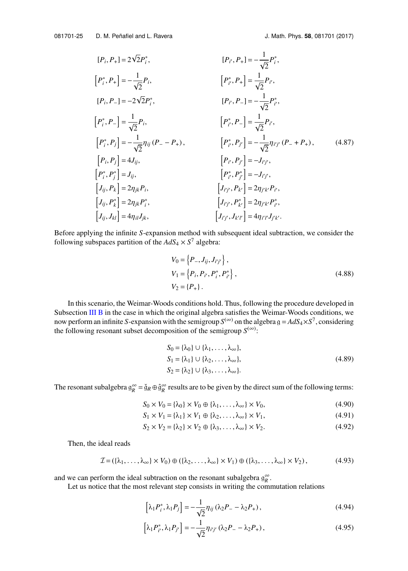$$
[P_i, P_+] = 2\sqrt{2}P_i^*,
$$
\n
$$
[P_i^*, P_+] = -\frac{1}{\sqrt{2}}P_i,
$$
\n
$$
[P_i, P_-] = -2\sqrt{2}P_i^*,
$$
\n
$$
[P_i, P_-] = -2\sqrt{2}P_i^*,
$$
\n
$$
[P_i^*, P_-] = \frac{1}{\sqrt{2}}P_i,
$$
\n
$$
[P_i^*, P_-] = \frac{1}{\sqrt{2}}P_i,
$$
\n
$$
[P_i^*, P_-] = \frac{1}{\sqrt{2}}P_i,
$$
\n
$$
[P_i^*, P_j] = -\frac{1}{\sqrt{2}}\eta_{ij}(P_- - P_+),
$$
\n
$$
[P_i^*, P_j^*] = -\frac{1}{\sqrt{2}}\eta_{ij'}(P_- + P_+),
$$
\n
$$
[P_i, P_j^*] = 4J_{ij},
$$
\n
$$
[P_i^*, P_j^*] = J_{ij},
$$
\n
$$
[P_i^*, P_j^*] = -J_{ij'},
$$
\n
$$
[P_i^*, P_j^*] = -J_{ij'},
$$
\n
$$
[P_i^*, P_j^*] = -J_{ij'},
$$
\n
$$
[P_i^*, P_j^*] = -J_{ij'},
$$
\n
$$
[J_{ij}, P_k^*] = 2\eta_{jk}P_i^*,
$$
\n
$$
[J_{ij}, J_{kl}] = 4\eta_{il}J_{jk},
$$
\n
$$
[J_{ij^*}, J_{k'l^*}] = 4\eta_{il'}J_{jk'}
$$

Before applying the infinite *S*-expansion method with subsequent ideal subtraction, we consider the following subspaces partition of the  $AdS_4 \times S^7$  algebra:

)

 $\overline{a}$ 

$$
V_0 = \{P_-, J_{ij}, J_{i'j'}\},
$$
  
\n
$$
V_1 = \{P_i, P_{i'}, P_{i}^*, P_{i'}^*\},
$$
  
\n
$$
V_2 = \{P_+\}.
$$
\n(4.88)

In this scenario, the Weimar-Woods conditions hold. Thus, following the procedure developed in Subsection [III B](#page-12-1) in the case in which the original algebra satisfies the Weimar-Woods conditions, we now perform an infinite *S*-expansion with the semigroup  $S^{(\infty)}$  on the algebra  $g = AdS_4 \times S^7$ , considering the following resonant subset decomposition of the semigroup  $S^{(\infty)}$ :

$$
S_0 = {\lambda_0} \cup {\lambda_1, \dots, \lambda_\infty},
$$
  
\n
$$
S_1 = {\lambda_1} \cup {\lambda_2, \dots, \lambda_\infty},
$$
  
\n
$$
S_2 = {\lambda_2} \cup {\lambda_3, \dots, \lambda_\infty}.
$$
  
\n(4.89)

The resonant subalgebra  $g_R^{\infty} = \check{g}_R \oplus \hat{g}_R^{\infty}$  results are to be given by the direct sum of the following terms:

$$
S_0 \times V_0 = \{\lambda_0\} \times V_0 \oplus \{\lambda_1, \dots, \lambda_\infty\} \times V_0, \tag{4.90}
$$

$$
S_1 \times V_1 = \{\lambda_1\} \times V_1 \oplus \{\lambda_2, \dots, \lambda_\infty\} \times V_1, \tag{4.91}
$$

$$
S_2 \times V_2 = {\lambda_2} \times V_2 \oplus {\lambda_3, \dots, \lambda_\infty} \times V_2. \tag{4.92}
$$

Then, the ideal reads

$$
\mathcal{I} = (\{\lambda_1, \ldots, \lambda_\infty\} \times V_0) \oplus (\{\lambda_2, \ldots, \lambda_\infty\} \times V_1) \oplus (\{\lambda_3, \ldots, \lambda_\infty\} \times V_2),
$$
(4.93)

and we can perform the ideal subtraction on the resonant subalgebra  $g_R^{\infty}$ .

Let us notice that the most relevant step consists in writing the commutation relations

$$
[\lambda_1 P_i^*, \lambda_1 P_j] = -\frac{1}{\sqrt{2}} \eta_{ij} (\lambda_2 P_- - \lambda_2 P_+), \qquad (4.94)
$$

$$
\[\lambda_1 P_{i'}^*, \lambda_1 P_{j'}\] = -\frac{1}{\sqrt{2}} \eta_{i'j'} (\lambda_2 P_- - \lambda_2 P_+),\tag{4.95}
$$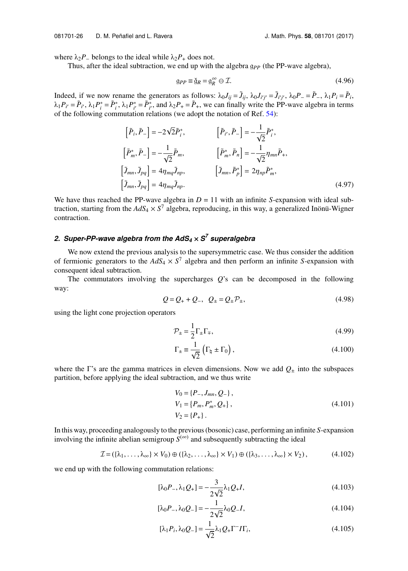where  $\lambda_2 P$ <sub>-</sub> belongs to the ideal while  $\lambda_2 P_+$  does not.

Thus, after the ideal subtraction, we end up with the algebra g<sub>PP</sub> (the PP-wave algebra),

$$
\mathfrak{g}_{PP} \equiv \check{\mathfrak{g}}_R = \mathfrak{g}_R^{\infty} \oplus \mathcal{I}.\tag{4.96}
$$

Indeed, if we now rename the generators as follows:  $\lambda_0 J_{ij} = \tilde{J}_{ij}$ ,  $\lambda_0 J_{i'j'} = \tilde{J}_{i'j'}$ ,  $\lambda_0 P_{-} = \tilde{P}_{-}$ ,  $\lambda_1 P_i = \tilde{P}_i$ ,  $\lambda_1 P_{i'} = \tilde{P}_{i'}$ ,  $\lambda_1 P_i^* = \tilde{P}_{i'}^*$ ,  $\lambda_1 P_{i'}^* = \tilde{P}_{i'}^*$ , and  $\lambda_2 P_+ = \tilde{P}_+$ , we can finally write the PP-wave algebra in terms of the following commutation relations (we adopt the notation of Ref. [54\)](#page-31-11):

$$
\begin{aligned}\n\left[\tilde{P}_i, \tilde{P}_-\right] &= -2\sqrt{2}\tilde{P}_i^*, & \left[\tilde{P}_{i'}, \tilde{P}_-\right] &= -\frac{1}{\sqrt{2}}\tilde{P}_i^*, \\
\left[\tilde{P}_m^*, \tilde{P}_-\right] &= -\frac{1}{\sqrt{2}}\tilde{P}_m, & \left[\tilde{P}_m^*, \tilde{P}_n\right] &= -\frac{1}{\sqrt{2}}\eta_{mn}\tilde{P}_+, \\
\left[\tilde{J}_{mn}, \tilde{J}_{pq}\right] &= 4\eta_{mq}\tilde{J}_{np}, & \left[\tilde{J}_{mn}, \tilde{P}_p^*\right] &= 2\eta_{np}\tilde{P}_m^*, \\
\left[\tilde{J}_{mn}, \tilde{J}_{pq}\right] &= 4\eta_{mq}\tilde{J}_{np}.\n\end{aligned}
$$
\n(4.97)

We have thus reached the PP-wave algebra in  $D = 11$  with an infinite *S*-expansion with ideal subtraction, starting from the  $AdS_4 \times S^7$  algebra, reproducing, in this way, a generalized Inönü-Wigner contraction.

## *2. Super-PP-wave algebra from the AdS<sup>4</sup>* × *S 7 superalgebra*

We now extend the previous analysis to the supersymmetric case. We thus consider the addition of fermionic generators to the  $AdS_4 \times S^7$  algebra and then perform an infinite *S*-expansion with consequent ideal subtraction.

The commutators involving the supercharges *Q*'s can be decomposed in the following way:

$$
Q = Q_+ + Q_-, \quad Q_{\pm} = Q_{\pm} \mathcal{P}_{\pm}, \tag{4.98}
$$

using the light cone projection operators

$$
\mathcal{P}_{\pm} = \frac{1}{2} \Gamma_{\pm} \Gamma_{\mp},\tag{4.99}
$$

$$
\Gamma_{\pm} \equiv \frac{1}{\sqrt{2}} \left( \Gamma_{\natural} \pm \Gamma_0 \right), \tag{4.100}
$$

where the Γ's are the gamma matrices in eleven dimensions. Now we add  $Q_{+}$  into the subspaces partition, before applying the ideal subtraction, and we thus write

$$
V_0 = \{P_-, J_{mn}, Q_-\},
$$
  
\n
$$
V_1 = \{P_m, P_m^*, Q_+\},
$$
  
\n
$$
V_2 = \{P_+\}.
$$
\n(4.101)

In this way, proceeding analogously to the previous (bosonic) case, performing an infinite *S*-expansion involving the infinite abelian semigroup  $S^{(\infty)}$  and subsequently subtracting the ideal

$$
\mathcal{I} = (\{\lambda_1, \ldots, \lambda_\infty\} \times V_0) \oplus (\{\lambda_2, \ldots, \lambda_\infty\} \times V_1) \oplus (\{\lambda_3, \ldots, \lambda_\infty\} \times V_2),
$$
(4.102)

we end up with the following commutation relations:

$$
[\lambda_0 P_-, \lambda_1 Q_+] = -\frac{3}{2\sqrt{2}} \lambda_1 Q_+ I,\tag{4.103}
$$

$$
[\lambda_0 P_-, \lambda_0 Q_-] = -\frac{1}{2\sqrt{2}} \lambda_0 Q_- I,
$$
\n(4.104)

$$
[\lambda_1 P_i, \lambda_0 Q_-] = \frac{1}{\sqrt{2}} \lambda_1 Q_+ \Gamma^- I \Gamma_i,
$$
\n(4.105)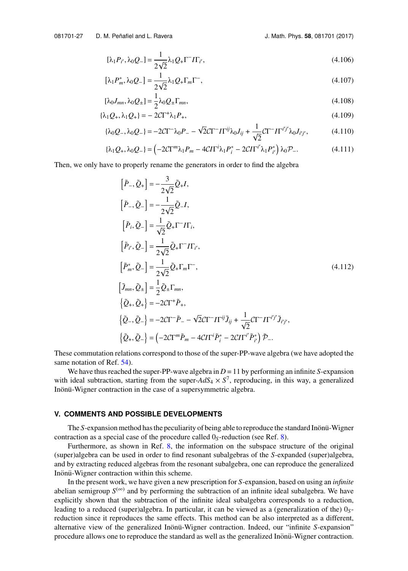$$
[\lambda_1 P_{i'}, \lambda_0 Q_{-}] = \frac{1}{2\sqrt{2}} \lambda_1 Q_{+} \Gamma^{-} I \Gamma_{i'},
$$
\n(4.106)

$$
\left[\lambda_1 P_m^*, \lambda_0 Q_-\right] = \frac{1}{2\sqrt{2}} \lambda_1 Q_+ \Gamma_m \Gamma^-, \tag{4.107}
$$

$$
[\lambda_0 J_{mn}, \lambda_0 Q_{\pm}] = \frac{1}{2} \lambda_0 Q_{\pm} \Gamma_{mn},\tag{4.108}
$$

$$
\{\lambda_1 Q_+, \lambda_1 Q_+\} = -2C\Gamma^+ \lambda_1 P_+, \tag{4.109}
$$

$$
\{\lambda_0 Q_-, \lambda_0 Q_-\} = -2C\Gamma^- \lambda_0 P_- - \sqrt{2}C\Gamma^- I \Gamma^{ij} \lambda_0 J_{ij} + \frac{1}{\sqrt{2}} C\Gamma^- I \Gamma^{i'j'} \lambda_0 J_{i'j'},
$$
(4.110)

$$
\{\lambda_1 Q_+, \lambda_0 Q_-\} = \left(-2C\Gamma^m \lambda_1 P_m - 4C\Gamma^i \lambda_1 P_i^* - 2C\Gamma^{i'} \lambda_1 P_{i'}^*\right) \lambda_0 P_-\tag{4.111}
$$

Then, we only have to properly rename the generators in order to find the algebra

$$
[\tilde{P}_{-}, \tilde{Q}_{+}] = -\frac{3}{2\sqrt{2}} \tilde{Q}_{+} I,
$$
  
\n
$$
[\tilde{P}_{-}, \tilde{Q}_{-}] = -\frac{1}{2\sqrt{2}} \tilde{Q}_{-} I,
$$
  
\n
$$
[\tilde{P}_{i}, \tilde{Q}_{-}] = \frac{1}{\sqrt{2}} \tilde{Q}_{+} \Gamma^{-} I \Gamma_{i},
$$
  
\n
$$
[\tilde{P}_{i}, \tilde{Q}_{-}] = \frac{1}{2\sqrt{2}} \tilde{Q}_{+} \Gamma^{-} I \Gamma_{i'},
$$
  
\n
$$
[\tilde{P}_{m}^{*}, \tilde{Q}_{-}] = \frac{1}{2\sqrt{2}} \tilde{Q}_{+} \Gamma_{m} \Gamma^{-},
$$
  
\n
$$
[\tilde{J}_{mn}, \tilde{Q}_{\pm}] = \frac{1}{2} \tilde{Q}_{\pm} \Gamma_{mn},
$$
  
\n
$$
\{\tilde{Q}_{+}, \tilde{Q}_{+}\} = -2C\Gamma^{+} \tilde{P}_{+},
$$
  
\n
$$
\{\tilde{Q}_{-}, \tilde{Q}_{-}\} = -2C\Gamma^{-} \tilde{P}_{-} - \sqrt{2}C\Gamma^{-} I \Gamma^{ij} \tilde{J}_{ij} + \frac{1}{\sqrt{2}} C\Gamma^{-} I \Gamma^{ij} \tilde{J}_{i'j'},
$$
  
\n
$$
\{\tilde{Q}_{+}, \tilde{Q}_{-}\} = (-2C\Gamma^{m} \tilde{P}_{m} - 4C I \Gamma^{i} \tilde{P}_{i}^{*} - 2C I \Gamma^{i'} \tilde{P}_{i'}^{*}) \tilde{P}_{-}.
$$
  
\n(4.112)

These commutation relations correspond to those of the super-PP-wave algebra (we have adopted the same notation of Ref. [54\)](#page-31-11).

We have thus reached the super-PP-wave algebra in  $D = 11$  by performing an infinite *S*-expansion with ideal subtraction, starting from the super- $AdS_4 \times S^7$ , reproducing, in this way, a generalized Inönü-Wigner contraction in the case of a supersymmetric algebra.

## <span id="page-28-0"></span>**V. COMMENTS AND POSSIBLE DEVELOPMENTS**

The *S*-expansion method has the peculiarity of being able to reproduce the standard Inönü-Wigner contraction as a special case of the procedure called  $0<sub>S</sub>$ -reduction (see Ref. [8\)](#page-29-6).

Furthermore, as shown in Ref. [8,](#page-29-6) the information on the subspace structure of the original (super)algebra can be used in order to find resonant subalgebras of the *S*-expanded (super)algebra, and by extracting reduced algebras from the resonant subalgebra, one can reproduce the generalized Inönü-Wigner contraction within this scheme.

In the present work, we have given a new prescription for *S*-expansion, based on using an *infinite* abelian semigroup  $S^{(\infty)}$  and by performing the subtraction of an infinite ideal subalgebra. We have explicitly shown that the subtraction of the infinite ideal subalgebra corresponds to a reduction, leading to a reduced (super)algebra. In particular, it can be viewed as a (generalization of the) 0*S*reduction since it reproduces the same effects. This method can be also interpreted as a different, alternative view of the generalized Inönü-Wigner contraction. Indeed, our "infinite S-expansion" procedure allows one to reproduce the standard as well as the generalized Inönü-Wigner contraction.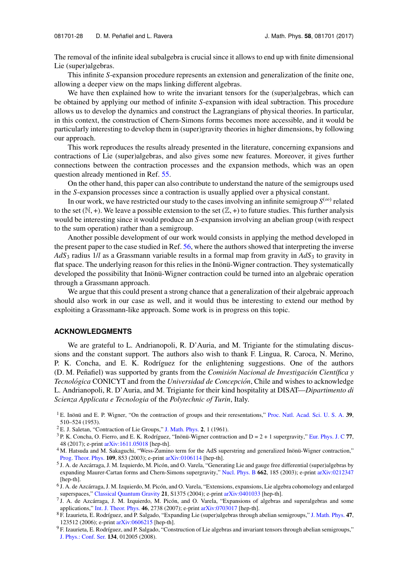The removal of the infinite ideal subalgebra is crucial since it allows to end up with finite dimensional Lie (super)algebras.

This infinite *S*-expansion procedure represents an extension and generalization of the finite one, allowing a deeper view on the maps linking different algebras.

We have then explained how to write the invariant tensors for the (super)algebras, which can be obtained by applying our method of infinite *S*-expansion with ideal subtraction. This procedure allows us to develop the dynamics and construct the Lagrangians of physical theories. In particular, in this context, the construction of Chern-Simons forms becomes more accessible, and it would be particularly interesting to develop them in (super)gravity theories in higher dimensions, by following our approach.

This work reproduces the results already presented in the literature, concerning expansions and contractions of Lie (super)algebras, and also gives some new features. Moreover, it gives further connections between the contraction processes and the expansion methods, which was an open question already mentioned in Ref. [55.](#page-31-13)

On the other hand, this paper can also contribute to understand the nature of the semigroups used in the *S*-expansion processes since a contraction is usually applied over a physical constant.

In our work, we have restricted our study to the cases involving an infinite semigroup  $S^{(\infty)}$  related to the set  $(\mathbb{N}, +)$ . We leave a possible extension to the set  $(\mathbb{Z}, +)$  to future studies. This further analysis would be interesting since it would produce an *S*-expansion involving an abelian group (with respect to the sum operation) rather than a semigroup.

Another possible development of our work would consists in applying the method developed in the present paper to the case studied in Ref. [56,](#page-31-14) where the authors showed that interpreting the inverse  $AdS<sub>3</sub>$  radius 1/*l* as a Grassmann variable results in a formal map from gravity in  $AdS<sub>3</sub>$  to gravity in flat space. The underlying reason for this relies in the Inönü-Wigner contraction. They systematically developed the possibility that Inonü-Wigner contraction could be turned into an algebraic operation through a Grassmann approach.

We argue that this could present a strong chance that a generalization of their algebraic approach should also work in our case as well, and it would thus be interesting to extend our method by exploiting a Grassmann-like approach. Some work is in progress on this topic.

## **ACKNOWLEDGMENTS**

We are grateful to L. Andrianopoli, R. D'Auria, and M. Trigiante for the stimulating discussions and the constant support. The authors also wish to thank F. Lingua, R. Caroca, N. Merino, P. K. Concha, and E. K. Rodríguez for the enlightening suggestions. One of the authors (D. M. Peñafiel) was supported by grants from the *Comisión Nacional de Investigación Científica y Tecnológica* CONICYT and from the *Universidad de Concepción*, Chile and wishes to acknowledge L. Andrianopoli, R. D'Auria, and M. Trigiante for their kind hospitality at DISAT—*Dipartimento di Scienza Applicata e Tecnologia* of the *Polytechnic of Turin*, Italy.

- <span id="page-29-1"></span><sup>2</sup> E. J. Saletan, "Contraction of Lie Groups," [J. Math. Phys.](http://dx.doi.org/10.1063/1.1724208) **2**, 1 (1961).
- <span id="page-29-2"></span> $3$  P. K. Concha, O. Fierro, and E. K. Rodríguez, "Inönü-Wigner contraction and  $D = 2 + 1$  supergravity," [Eur. Phys. J. C](http://dx.doi.org/10.1140/epjc/s10052-017-4615-1) 77, 48 (2017); e-print [arXiv:1611.05018](https://arxiv.org/abs/1611.05018) [hep-th].
- <span id="page-29-3"></span><sup>4</sup> M. Hatsuda and M. Sakaguchi, "Wess-Zumino term for the AdS superstring and generalized Inönü-Wigner contraction," [Prog. Theor. Phys.](http://dx.doi.org/10.1143/ptp.109.853) **109**, 853 (2003); e-print [arXiv:0106114](https://arxiv.org/abs/hep-th/0106114) [hep-th].
- <span id="page-29-4"></span><sup>5</sup> J. A. de Azcárraga, J. M. Izquierdo, M. Picón, and O. Varela, "Generating Lie and gauge free differential (super)algebras by expanding Maurer-Cartan forms and Chern-Simons supergravity," [Nucl. Phys. B](http://dx.doi.org/10.1016/s0550-3213(03)00342-0) **662**, 185 (2003); e-print [arXiv:0212347](https://arxiv.org/abs/hep-th/0212347) [hep-th].
- <sup>6</sup> J. A. de Azcárraga, J. M. Izquierdo, M. Picón, and O. Varela, "Extensions, expansions, Lie algebra cohomology and enlarged superspaces," [Classical Quantum Gravity](http://dx.doi.org/10.1088/0264-9381/21/10/010) **21**, S1375 (2004); e-print [arXiv:0401033](https://arxiv.org/abs/hep-th/0401033) [hep-th].
- <span id="page-29-5"></span><sup>7</sup> J. A. de Azcárraga, J. M. Izquierdo, M. Picón, and O. Varela, "Expansions of algebras and superalgebras and some applications," [Int. J. Theor. Phys.](http://dx.doi.org/10.1007/s10773-007-9385-3) **46**, 2738 (2007); e-print [arXiv:0703017](https://arxiv.org/abs/hep-th/0703017) [hep-th].
- <span id="page-29-6"></span><sup>8</sup> F. Izaurieta, E. Rodr´ıguez, and P. Salgado, "Expanding Lie (super)algebras through abelian semigroups," [J. Math. Phys.](http://dx.doi.org/10.1063/1.2390659) **47**, 123512 (2006); e-print [arXiv:0606215](https://arxiv.org/abs/hep-th/0606215) [hep-th].
- $9$  F. Izaurieta, E. Rodríguez, and P. Salgado, "Construction of Lie algebras and invariant tensors through abelian semigroups," [J. Phys.: Conf. Ser.](http://dx.doi.org/10.1088/1742-6596/134/1/012005) **134**, 012005 (2008).

<span id="page-29-0"></span><sup>&</sup>lt;sup>1</sup> E. Inönü and E. P. Wigner, "On the contraction of groups and their reresentations," [Proc. Natl. Acad. Sci. U. S. A.](http://dx.doi.org/10.1073/pnas.39.6.510) 39, 510–524 (1953).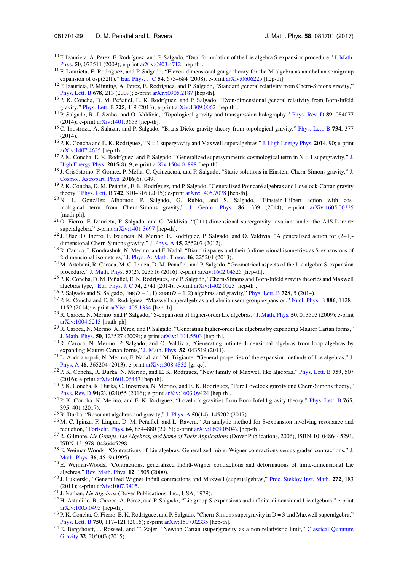- <span id="page-30-0"></span><sup>10</sup> F. Izaurieta, A. Perez, E. Rodríguez, and P. Salgado, "Dual formulation of the Lie algebra S-expansion procedure," [J. Math.](http://dx.doi.org/10.1063/1.3171923) [Phys.](http://dx.doi.org/10.1063/1.3171923) **50**, 073511 (2009); e-print [arXiv:0903.4712](https://arxiv.org/abs/0903.4712) [hep-th].
- <span id="page-30-1"></span> $11$  F. Izaurieta, E. Rodríguez, and P. Salgado, "Eleven-dimensional gauge theory for the M algebra as an abelian semigroup expansion of osp(32|1)," [Eur. Phys. J. C](http://dx.doi.org/10.1140/epjc/s10052-008-0540-7) **54**, 675–684 (2008); e-print [arXiv:0606225](https://arxiv.org/abs/hep-th/0606225) [hep-th].
- <sup>12</sup> F. Izaurieta, P. Minning, A. Perez, E. Rodríguez, and P. Salgado, "Standard general relativity from Chern-Simons gravity," [Phys. Lett. B](http://dx.doi.org/10.1016/j.physletb.2009.06.017) **678**, 213 (2009); e-print [arXiv:0905.2187](https://arxiv.org/abs/0905.2187) [hep-th].
- <span id="page-30-16"></span><sup>13</sup> P. K. Concha, D. M. Peñafiel, E. K. Rodríguez, and P. Salgado, "Even-dimensional general relativity from Born-Infeld gravity," [Phys. Lett. B](http://dx.doi.org/10.1016/j.physletb.2013.07.019) **725**, 419 (2013); e-print [arXiv:1309.0062](https://arxiv.org/abs/1309.0062) [hep-th].
- <sup>14</sup> P. Salgado, R. J. Szabo, and O. Valdivia, "Topological gravity and transgression holography," [Phys. Rev. D](http://dx.doi.org/10.1103/physrevd.89.084077) **89**, 084077 (2014); e-print [arXiv:1401.3653](https://arxiv.org/abs/1401.3653) [hep-th].
- <sup>15</sup> C. Inostroza, A. Salazar, and P. Salgado, "Brans-Dicke gravity theory from topological gravity," [Phys. Lett. B](http://dx.doi.org/10.1016/j.physletb.2014.05.080) **734**, 377 (2014).
- <span id="page-30-10"></span><sup>16</sup> P. K. Concha and E. K. Rodríguez, "N = 1 supergravity and Maxwell superalgebras," [J. High Energy Phys.](http://dx.doi.org/10.1007/JHEP09(2014)090) **2014**, 90; e-print [arXiv:1407.4635](https://arxiv.org/abs/1407.4635) [hep-th].
- $17$  P. K. Concha, E. K. Rodríguez, and P. Salgado, "Generalized supersymmetric cosmological term in N = 1 supergravity," [J.](http://dx.doi.org/10.1007/JHEP08(2015)009) [High Energy Phys.](http://dx.doi.org/10.1007/JHEP08(2015)009) **2015**(8), 9; e-print [arXiv:1504.01898](https://arxiv.org/abs/1504.01898) [hep-th].
- <sup>18</sup> [J.](http://dx.doi.org/10.1088/1475-7516/2016/06/049) Crisóstomo, F. Gomez, P. Mella, C. Quinzacara, and P. Salgado, "Static solutions in Einstein-Chern-Simons gravity," J. [Cosmol. Astropart. Phys.](http://dx.doi.org/10.1088/1475-7516/2016/06/049) **2016**(6), 049.
- <span id="page-30-12"></span> $^{19}$  P. K. Concha, D. M. Peñafiel, E. K. Rodríguez, and P. Salgado, "Generalized Poincaré algebras and Lovelock-Cartan gravity theory," [Phys. Lett. B](http://dx.doi.org/10.1016/j.physletb.2015.01.038) **742**, 310–316 (2015); e-print [arXiv:1405.7078](https://arxiv.org/abs/1405.7078) [hep-th].
- <sup>20</sup> N. L. González Albornoz, P. Salgado, G. Rubio, and S. Salgado, "Einstein-Hilbert action with cosmological term from Chern-Simons gravity," [J. Geom. Phys.](http://dx.doi.org/10.1016/j.geomphys.2014.08.013) **86**, 339 (2014); e-print [arXiv:1605.00325](https://arxiv.org/abs/1605.00325) [math-ph].
- <sup>21</sup> O. Fierro, F. Izaurieta, P. Salgado, and O. Valdivia, "(2+1)-dimensional supergravity invariant under the AdS-Lorentz superalgebra," e-print [arXiv:1401.3697](https://arxiv.org/abs/1401.3697) [hep-th].
- $^{22}$  J. Díaz, O. Fierro, F. Izaurieta, N. Merino, E. Rodríguez, P. Salgado, and O. Valdivia, "A generalized action for (2+1)dimensional Chern-Simons gravity," [J. Phys. A](http://dx.doi.org/10.1088/1751-8113/45/25/255207) **45**, 255207 (2012).
- <sup>23</sup> R. Caroca, I. Kondrashuk, N. Merino, and F. Nadal, "Bianchi spaces and their 3-dimensional isometries as S-expansions of 2-dimensional isometries," [J. Phys. A: Math. Theor.](http://dx.doi.org/10.1088/1751-8113/46/22/225201) **46**, 225201 (2013).
- <sup>24</sup> M. Artebani, R. Caroca, M. C. Ipinza, D. M. Peñafiel, and P. Salgado, "Geometrical aspects of the Lie algebra S-expansion procedure," [J. Math. Phys.](http://dx.doi.org/10.1063/1.4941135) **57**(2), 023516 (2016); e-print [arXiv:1602.04525](https://arxiv.org/abs/1602.04525) [hep-th].
- <span id="page-30-11"></span> $^{25}$  P. K. Concha, D. M. Peñafiel, E. K. Rodríguez, and P. Salgado, "Chern-Simons and Born-Infeld gravity theories and Maxwell algebras type," [Eur. Phys. J. C](http://dx.doi.org/10.1140/epjc/s10052-014-2741-6) **74**, 2741 (2014); e-print [arXiv:1402.0023](https://arxiv.org/abs/1402.0023) [hep-th].
- <sup>26</sup> P. Salgado and S. Salgado, "so(*D* − 1, 1) ⊗ so(*D* − 1, 2) algebras and gravity," [Phys. Lett. B](http://dx.doi.org/10.1016/j.physletb.2013.11.009) **728**, 5 (2014).
- <span id="page-30-13"></span><sup>27</sup> P. K. Concha and E. K. Rodríguez, "Maxwell superalgebras and abelian semigroup expansion," [Nucl. Phys. B](http://dx.doi.org/10.1016/j.nuclphysb.2014.07.022) 886, 1128– 1152 (2014); e-print [arXiv:1405.1334](https://arxiv.org/abs/1405.1334) [hep-th].
- <sup>28</sup> R. Caroca, N. Merino, and P. Salgado, "S-expansion of higher-order Lie algebras," [J. Math. Phys.](http://dx.doi.org/10.1063/1.3036177) **50**, 013503 (2009); e-print [arXiv:1004.5213](https://arxiv.org/abs/1004.5213) [math-ph].
- <sup>29</sup> R. Caroca, N. Merino, A. Perez, and P. Salgado, "Generating higher-order Lie algebras by expanding Maurer Cartan forms," [J. Math. Phys.](http://dx.doi.org/10.1063/1.3272997) **50**, 123527 (2009); e-print [arXiv:1004.5503](https://arxiv.org/abs/1004.5503) [hep-th].
- <sup>30</sup> R. Caroca, N. Merino, P. Salgado, and O. Valdivia, "Generating infinite-dimensional algebras from loop algebras by expanding Maurer-Cartan forms," [J. Math. Phys.](http://dx.doi.org/10.1063/1.3579990) **52**, 043519 (2011).
- <sup>31</sup> L. Andrianopoli, N. Merino, F. Nadal, and M. Trigiante, "General properties of the expansion methods of Lie algebras," [J.](http://dx.doi.org/10.1088/1751-8113/46/36/365204) [Phys. A](http://dx.doi.org/10.1088/1751-8113/46/36/365204) **46**, 365204 (2013); e-print [arXiv:1308.4832](https://arxiv.org/abs/1308.4832) [gr-qc].
- <span id="page-30-17"></span><sup>32</sup> P. K. Concha, R. Durka, N. Merino, and E. K. Rodrguez, "New family of Maxwell like algebras," [Phys. Lett. B](http://dx.doi.org/10.1016/j.physletb.2016.06.016) **759**, 507 (2016); e-print [arXiv:1601.06443](https://arxiv.org/abs/1601.06443) [hep-th].
- <sup>33</sup> P. K. Concha, R. Durka, C. Inostroza, N. Merino, and E. K. Rodríguez, "Pure Lovelock gravity and Chern-Simons theory," [Phys. Rev. D](http://dx.doi.org/10.1103/physrevd.94.024055) **94**(2), 024055 (2016); e-print [arXiv:1603.09424](https://arxiv.org/abs/1603.09424) [hep-th].
- <sup>34</sup> P. K. Concha, N. Merino, and E. K. Rodrguez, "Lovelock gravities from Born-Infeld gravity theory," [Phys. Lett. B](http://dx.doi.org/10.1016/j.physletb.2016.09.008) **765**, 395–401 (2017).
- <span id="page-30-2"></span><sup>35</sup> R. Durka, "Resonant algebras and gravity," [J. Phys. A](http://dx.doi.org/10.1088/1751-8121/aa5c0b) **50**(14), 145202 (2017).
- <span id="page-30-3"></span><sup>36</sup> M. C. Ipinza, F. Lingua, D. M. Peñafiel, and L. Ravera, "An analytic method for S-expansion involving resonance and reduction," [Fortschr. Phys.](http://dx.doi.org/10.1002/prop.201600094) **64**, 854–880 (2016); e-print [arXiv:1609.05042](https://arxiv.org/abs/1609.05042) [hep-th].
- <span id="page-30-4"></span><sup>37</sup> R. Gilmore, *Lie Groups, Lie Algebras, and Some of Their Applications* (Dover Publications, 2006), ISBN-10: 0486445291, ISBN-13: 978–0486445298.
- <span id="page-30-6"></span>38 E. Weimar-Woods, "Contractions of Lie algebras: Generalized Inönü-Wigner contractions versus graded contractions," [J.](http://dx.doi.org/10.1063/1.530905) [Math. Phys.](http://dx.doi.org/10.1063/1.530905) **36**, 4519 (1995).
- <span id="page-30-7"></span><sup>39</sup> E. Weimar-Woods, "Contractions, generalized Inönü-Wigner contractions and deformations of finite-dimensional Lie algebras," [Rev. Math. Phys.](http://dx.doi.org/10.1142/s0129055x00000605) **12**, 1505 (2000).
- <span id="page-30-5"></span><sup>40</sup> J. Lukierski, "Generalized Wigner-Inonü contractions and Maxwell (super)algebras," [Proc. Steklov Inst. Math.](http://dx.doi.org/10.1134/s0081543811010172) 272, 183 (2011); e-print [arXiv:1007.3405.](https://arxiv.org/abs/1007.3405)
- <span id="page-30-8"></span><sup>41</sup> J. Nathan, *Lie Algebras* (Dover Publications, Inc., USA, 1979).
- <span id="page-30-9"></span><sup>42</sup> H. Astudillo, R. Caroca, A. Pérez, and P. Salgado, "Lie group S-expansions and infinite-dimensional Lie algebras," e-print [arXiv:1005.0495](https://arxiv.org/abs/1005.0495) [hep-th].
- <span id="page-30-15"></span> $^{43}$  P. K. Concha, O. Fierro, E. K. Rodríguez, and P. Salgado, "Chern-Simons supergravity in D = 3 and Maxwell superalgebra," [Phys. Lett. B](http://dx.doi.org/10.1016/j.physletb.2015.09.005) **750**, 117–121 (2015); e-print [arXiv:1507.02335](https://arxiv.org/abs/1507.02335) [hep-th].
- <span id="page-30-14"></span><sup>44</sup> E. Bergshoeff, J. Rosseel, and T. Zojer, "Newton-Cartan (super)gravity as a non-relativistic limit," [Classical Quantum](http://dx.doi.org/10.1088/0264-9381/32/20/205003) [Gravity](http://dx.doi.org/10.1088/0264-9381/32/20/205003) **32**, 205003 (2015).